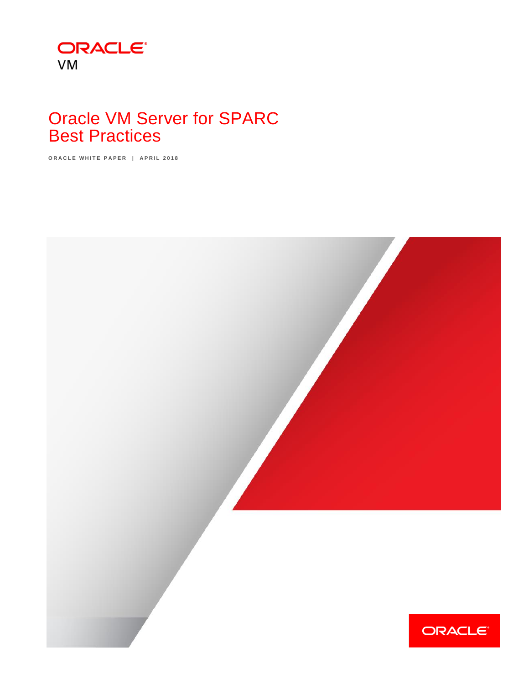

# Oracle VM Server for SPARC Best Practices

ORACLE WHITE PAPER | APRIL 2018

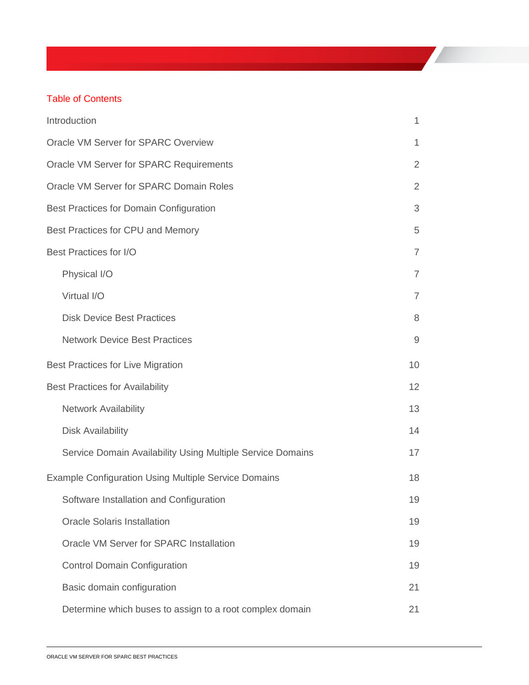### Table of Contents

| Introduction                                                | $\mathbf{1}$   |
|-------------------------------------------------------------|----------------|
| Oracle VM Server for SPARC Overview                         | 1              |
| Oracle VM Server for SPARC Requirements                     | $\overline{2}$ |
| Oracle VM Server for SPARC Domain Roles                     | $\overline{2}$ |
| <b>Best Practices for Domain Configuration</b>              | 3              |
| Best Practices for CPU and Memory                           | 5              |
| <b>Best Practices for I/O</b>                               | $\overline{7}$ |
| Physical I/O                                                | $\overline{7}$ |
| Virtual I/O                                                 | $\overline{7}$ |
| <b>Disk Device Best Practices</b>                           | 8              |
| <b>Network Device Best Practices</b>                        | $\mathsf 9$    |
| <b>Best Practices for Live Migration</b>                    | 10             |
| <b>Best Practices for Availability</b>                      | 12             |
| <b>Network Availability</b>                                 | 13             |
| <b>Disk Availability</b>                                    | 14             |
| Service Domain Availability Using Multiple Service Domains  | 17             |
| <b>Example Configuration Using Multiple Service Domains</b> | 18             |
| Software Installation and Configuration                     | 19             |
| <b>Oracle Solaris Installation</b>                          | 19             |
| Oracle VM Server for SPARC Installation                     | 19             |
| <b>Control Domain Configuration</b>                         | 19             |
| Basic domain configuration                                  | 21             |
| Determine which buses to assign to a root complex domain    | 21             |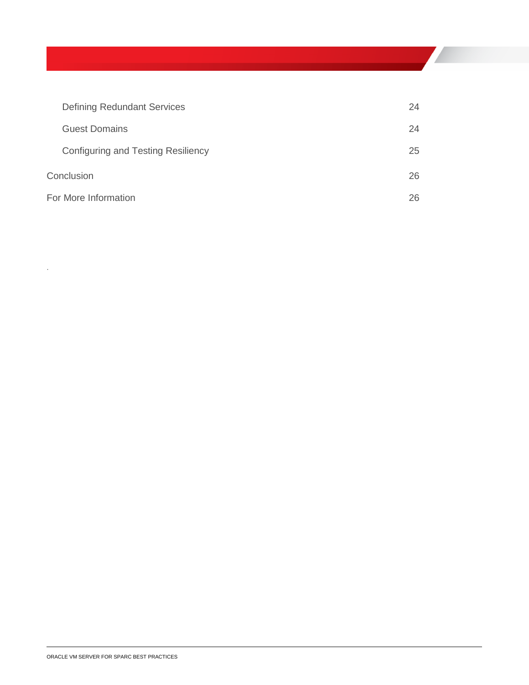| <b>Defining Redundant Services</b> | 24 |
|------------------------------------|----|
| <b>Guest Domains</b>               | 24 |
| Configuring and Testing Resiliency | 25 |
| Conclusion                         | 26 |
| For More Information               | 26 |

.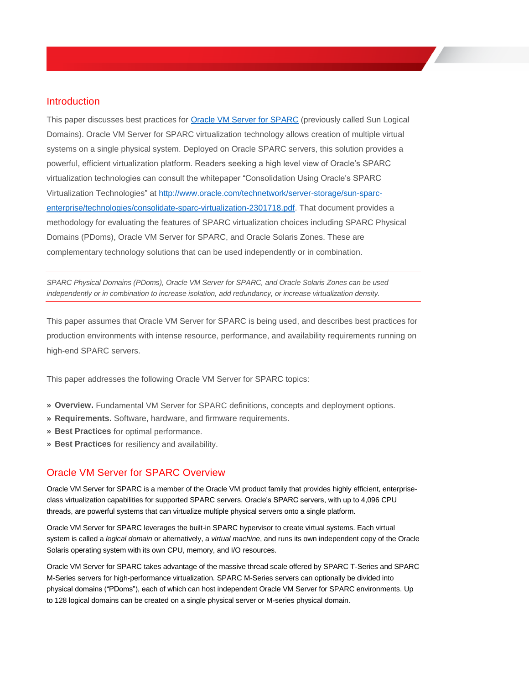### <span id="page-3-0"></span>Introduction

This paper discusses best practices for [Oracle VM Server for SPARC](http://www.oracle.com/us/technologies/virtualization/oracle-vm-server-for-sparc/index.html) (previously called Sun Logical Domains). Oracle VM Server for SPARC virtualization technology allows creation of multiple virtual systems on a single physical system. Deployed on Oracle SPARC servers, this solution provides a powerful, efficient virtualization platform. Readers seeking a high level view of Oracle's SPARC virtualization technologies can consult the whitepaper "Consolidation Using Oracle's SPARC Virtualization Technologies" at [http://www.oracle.com/technetwork/server-storage/sun-sparc](http://www.oracle.com/technetwork/server-storage/sun-sparc-enterprise/technologies/consolidate-sparc-virtualization-2301718.pdf)[enterprise/technologies/consolidate-sparc-virtualization-2301718.pdf.](http://www.oracle.com/technetwork/server-storage/sun-sparc-enterprise/technologies/consolidate-sparc-virtualization-2301718.pdf) That document provides a methodology for evaluating the features of SPARC virtualization choices including SPARC Physical Domains (PDoms), Oracle VM Server for SPARC, and Oracle Solaris Zones. These are complementary technology solutions that can be used independently or in combination.

*SPARC Physical Domains (PDoms), Oracle VM Server for SPARC, and Oracle Solaris Zones can be used independently or in combination to increase isolation, add redundancy, or increase virtualization density.*

This paper assumes that Oracle VM Server for SPARC is being used, and describes best practices for production environments with intense resource, performance, and availability requirements running on high-end SPARC servers.

This paper addresses the following Oracle VM Server for SPARC topics:

- **» Overview.** Fundamental VM Server for SPARC definitions, concepts and deployment options.
- **» Requirements.** Software, hardware, and firmware requirements.
- **» Best Practices** for optimal performance.
- **» Best Practices** for resiliency and availability.

### <span id="page-3-1"></span>Oracle VM Server for SPARC Overview

Oracle VM Server for SPARC is a member of the Oracle VM product family that provides highly efficient, enterpriseclass virtualization capabilities for supported SPARC servers. Oracle's SPARC servers, with up to 4,096 CPU threads, are powerful systems that can virtualize multiple physical servers onto a single platform.

Oracle VM Server for SPARC leverages the built-in SPARC hypervisor to create virtual systems. Each virtual system is called a *logical domain* or alternatively, a *virtual machine*, and runs its own independent copy of the Oracle Solaris operating system with its own CPU, memory, and I/O resources.

Oracle VM Server for SPARC takes advantage of the massive thread scale offered by SPARC T-Series and SPARC M-Series servers for high-performance virtualization. SPARC M-Series servers can optionally be divided into physical domains ("PDoms"), each of which can host independent Oracle VM Server for SPARC environments. Up to 128 logical domains can be created on a single physical server or M-series physical domain.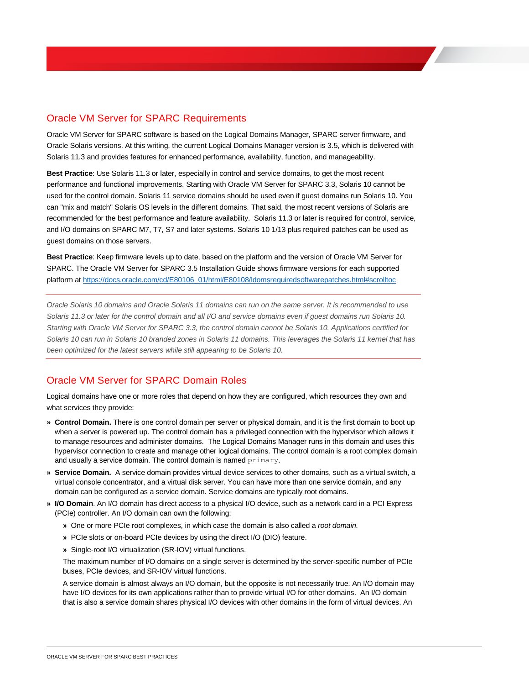# <span id="page-4-0"></span>Oracle VM Server for SPARC Requirements

Oracle VM Server for SPARC software is based on the Logical Domains Manager, SPARC server firmware, and Oracle Solaris versions. At this writing, the current Logical Domains Manager version is 3.5, which is delivered with Solaris 11.3 and provides features for enhanced performance, availability, function, and manageability.

**Best Practice**: Use Solaris 11.3 or later, especially in control and service domains, to get the most recent performance and functional improvements. Starting with Oracle VM Server for SPARC 3.3, Solaris 10 cannot be used for the control domain. Solaris 11 service domains should be used even if guest domains run Solaris 10. You can "mix and match" Solaris OS levels in the different domains. That said, the most recent versions of Solaris are recommended for the best performance and feature availability. Solaris 11.3 or later is required for control, service, and I/O domains on SPARC M7, T7, S7 and later systems. Solaris 10 1/13 plus required patches can be used as guest domains on those servers.

**Best Practice**: Keep firmware levels up to date, based on the platform and the version of Oracle VM Server for SPARC. The Oracle VM Server for SPARC 3.5 Installation Guide shows firmware versions for each supported platform at [https://docs.oracle.com/cd/E80106\\_01/html/E80108/ldomsrequiredsoftwarepatches.html#scrolltoc](https://docs.oracle.com/cd/E80106_01/html/E80108/ldomsrequiredsoftwarepatches.html#scrolltoc)

*Oracle Solaris 10 domains and Oracle Solaris 11 domains can run on the same server. It is recommended to use Solaris 11.3 or later for the control domain and all I/O and service domains even if guest domains run Solaris 10. Starting with Oracle VM Server for SPARC 3.3, the control domain cannot be Solaris 10. Applications certified for Solaris 10 can run in Solaris 10 branded zones in Solaris 11 domains. This leverages the Solaris 11 kernel that has been optimized for the latest servers while still appearing to be Solaris 10.*

# <span id="page-4-1"></span>Oracle VM Server for SPARC Domain Roles

Logical domains have one or more roles that depend on how they are configured, which resources they own and what services they provide:

- **» Control Domain.** There is one control domain per server or physical domain, and it is the first domain to boot up when a server is powered up. The control domain has a privileged connection with the hypervisor which allows it to manage resources and administer domains. The Logical Domains Manager runs in this domain and uses this hypervisor connection to create and manage other logical domains. The control domain is a root complex domain and usually a service domain. The control domain is named primary.
- **» Service Domain.** A service domain provides virtual device services to other domains, such as a virtual switch, a virtual console concentrator, and a virtual disk server. You can have more than one service domain, and any domain can be configured as a service domain. Service domains are typically root domains.
- **» I/O Domain**. An I/O domain has direct access to a physical I/O device, such as a network card in a PCI Express (PCIe) controller. An I/O domain can own the following:
	- **»** One or more PCIe root complexes, in which case the domain is also called a *root domain.*
	- **»** PCIe slots or on-board PCIe devices by using the direct I/O (DIO) feature.
	- **»** Single-root I/O virtualization (SR-IOV) virtual functions.

The maximum number of I/O domains on a single server is determined by the server-specific number of PCIe buses, PCIe devices, and SR-IOV virtual functions.

A service domain is almost always an I/O domain, but the opposite is not necessarily true. An I/O domain may have I/O devices for its own applications rather than to provide virtual I/O for other domains. An I/O domain that is also a service domain shares physical I/O devices with other domains in the form of virtual devices. An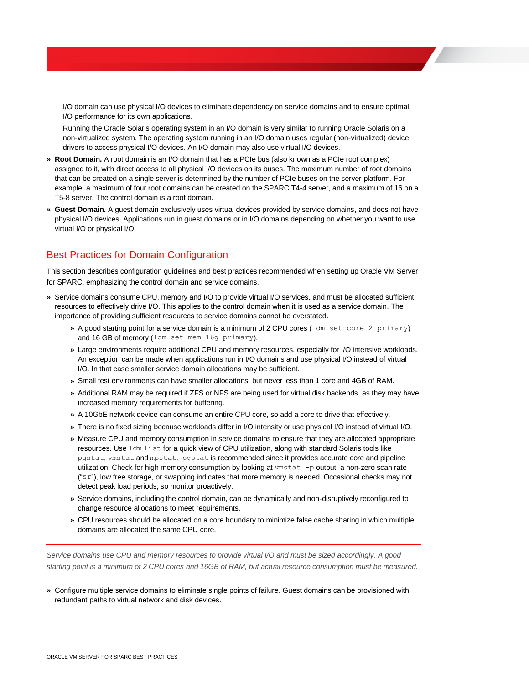I/O domain can use physical I/O devices to eliminate dependency on service domains and to ensure optimal I/O performance for its own applications.

Running the Oracle Solaris operating system in an I/O domain is very similar to running Oracle Solaris on a non-virtualized system. The operating system running in an I/O domain uses regular (non-virtualized) device drivers to access physical I/O devices. An I/O domain may also use virtual I/O devices.

- **» Root Domain.** A root domain is an I/O domain that has a PCIe bus (also known as a PCIe root complex) assigned to it, with direct access to all physical I/O devices on its buses. The maximum number of root domains that can be created on a single server is determined by the number of PCIe buses on the server platform. For example, a maximum of four root domains can be created on the SPARC T4-4 server, and a maximum of 16 on a T5-8 server. The control domain is a root domain.
- **» Guest Domain.** A guest domain exclusively uses virtual devices provided by service domains, and does not have physical I/O devices. Applications run in guest domains or in I/O domains depending on whether you want to use virtual I/O or physical I/O.

# <span id="page-5-0"></span>Best Practices for Domain Configuration

This section describes configuration guidelines and best practices recommended when setting up Oracle VM Server for SPARC, emphasizing the control domain and service domains.

- **»** Service domains consume CPU, memory and I/O to provide virtual I/O services, and must be allocated sufficient resources to effectively drive I/O. This applies to the control domain when it is used as a service domain. The importance of providing sufficient resources to service domains cannot be overstated.
	- **»** A good starting point for a service domain is a minimum of 2 CPU cores (ldm set-core 2 primary) and 16 GB of memory (ldm set-mem 16g primary).
	- **»** Large environments require additional CPU and memory resources, especially for I/O intensive workloads. An exception can be made when applications run in I/O domains and use physical I/O instead of virtual I/O. In that case smaller service domain allocations may be sufficient.
	- **»** Small test environments can have smaller allocations, but never less than 1 core and 4GB of RAM.
	- **»** Additional RAM may be required if ZFS or NFS are being used for virtual disk backends, as they may have increased memory requirements for buffering.
	- **»** A 10GbE network device can consume an entire CPU core, so add a core to drive that effectively.
	- **»** There is no fixed sizing because workloads differ in I/O intensity or use physical I/O instead of virtual I/O.
	- **»** Measure CPU and memory consumption in service domains to ensure that they are allocated appropriate resources. Use ldm list for a quick view of CPU utilization, along with standard Solaris tools like pgstat, vmstat and mpstat. pgstat is recommended since it provides accurate core and pipeline utilization. Check for high memory consumption by looking at  $v$ mstat  $-p$  output: a non-zero scan rate  $("sr")$ , low free storage, or swapping indicates that more memory is needed. Occasional checks may not detect peak load periods, so monitor proactively.
	- **»** Service domains, including the control domain, can be dynamically and non-disruptively reconfigured to change resource allocations to meet requirements.
	- **»** CPU resources should be allocated on a core boundary to minimize false cache sharing in which multiple domains are allocated the same CPU core.

*Service domains use CPU and memory resources to provide virtual I/O and must be sized accordingly. A good starting point is a minimum of 2 CPU cores and 16GB of RAM, but actual resource consumption must be measured.*

**»** Configure multiple service domains to eliminate single points of failure. Guest domains can be provisioned with redundant paths to virtual network and disk devices.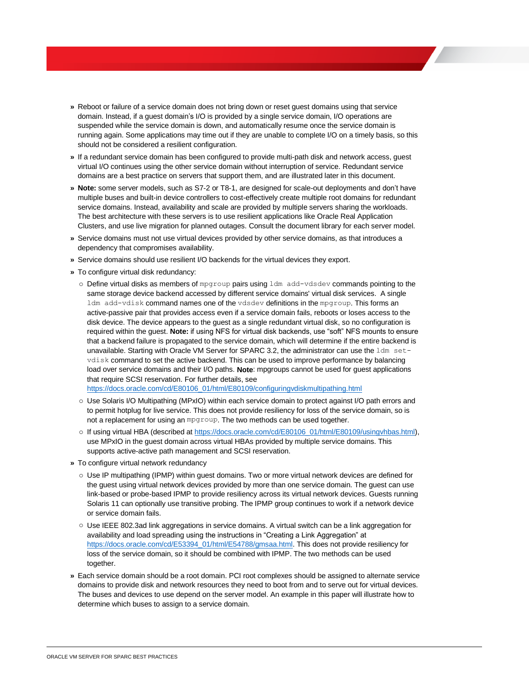- **»** Reboot or failure of a service domain does not bring down or reset guest domains using that service domain. Instead, if a guest domain's I/O is provided by a single service domain, I/O operations are suspended while the service domain is down, and automatically resume once the service domain is running again. Some applications may time out if they are unable to complete I/O on a timely basis, so this should not be considered a resilient configuration.
- **»** If a redundant service domain has been configured to provide multi-path disk and network access, guest virtual I/O continues using the other service domain without interruption of service. Redundant service domains are a best practice on servers that support them, and are illustrated later in this document.
- **» Note:** some server models, such as S7-2 or T8-1, are designed for scale-out deployments and don't have multiple buses and built-in device controllers to cost-effectively create multiple root domains for redundant service domains. Instead, availability and scale are provided by multiple servers sharing the workloads. The best architecture with these servers is to use resilient applications like Oracle Real Application Clusters, and use live migration for planned outages. Consult the document library for each server model.
- **»** Service domains must not use virtual devices provided by other service domains, as that introduces a dependency that compromises availability.
- **»** Service domains should use resilient I/O backends for the virtual devices they export.
- **»** To configure virtual disk redundancy:
	- o Define virtual disks as members of mpgroup pairs using ldm add-vdsdev commands pointing to the same storage device backend accessed by different service domains' virtual disk services. A single ldm add-vdisk command names one of the vdsdev definitions in the mpgroup. This forms an active-passive pair that provides access even if a service domain fails, reboots or loses access to the disk device. The device appears to the guest as a single redundant virtual disk, so no configuration is required within the guest. **Note:** if using NFS for virtual disk backends, use "soft" NFS mounts to ensure that a backend failure is propagated to the service domain, which will determine if the entire backend is unavailable. Starting with Oracle VM Server for SPARC 3.2, the administrator can use the ldm setvdisk command to set the active backend. This can be used to improve performance by balancing load over service domains and their I/O paths. **Note**: mpgroups cannot be used for guest applications that require SCSI reservation. For further details, see [https://docs.oracle.com/cd/E80106\\_01/html/E80109/configuringvdiskmultipathing.html](https://docs.oracle.com/cd/E80106_01/html/E80109/configuringvdiskmultipathing.html)
	- o Use Solaris I/O Multipathing (MPxIO) within each service domain to protect against I/O path errors and to permit hotplug for live service. This does not provide resiliency for loss of the service domain, so is not a replacement for using an mpgroup. The two methods can be used together.
	- o If using virtual HBA (described at [https://docs.oracle.com/cd/E80106\\_01/html/E80109/usingvhbas.html\)](https://docs.oracle.com/cd/E80106_01/html/E80109/usingvhbas.html), use MPxIO in the guest domain across virtual HBAs provided by multiple service domains. This supports active-active path management and SCSI reservation.
- **»** To configure virtual network redundancy
	- o Use IP multipathing (IPMP) within guest domains. Two or more virtual network devices are defined for the guest using virtual network devices provided by more than one service domain. The guest can use link-based or probe-based IPMP to provide resiliency across its virtual network devices. Guests running Solaris 11 can optionally use transitive probing. The IPMP group continues to work if a network device or service domain fails.
	- o Use IEEE 802.3ad link aggregations in service domains. A virtual switch can be a link aggregation for availability and load spreading using the instructions in "Creating a Link Aggregation" at [https://docs.oracle.com/cd/E53394\\_01/html/E54788/gmsaa.html.](https://docs.oracle.com/cd/E53394_01/html/E54788/gmsaa.html) This does not provide resiliency for loss of the service domain, so it should be combined with IPMP. The two methods can be used together.
- **»** Each service domain should be a root domain. PCI root complexes should be assigned to alternate service domains to provide disk and network resources they need to boot from and to serve out for virtual devices. The buses and devices to use depend on the server model. An example in this paper will illustrate how to determine which buses to assign to a service domain.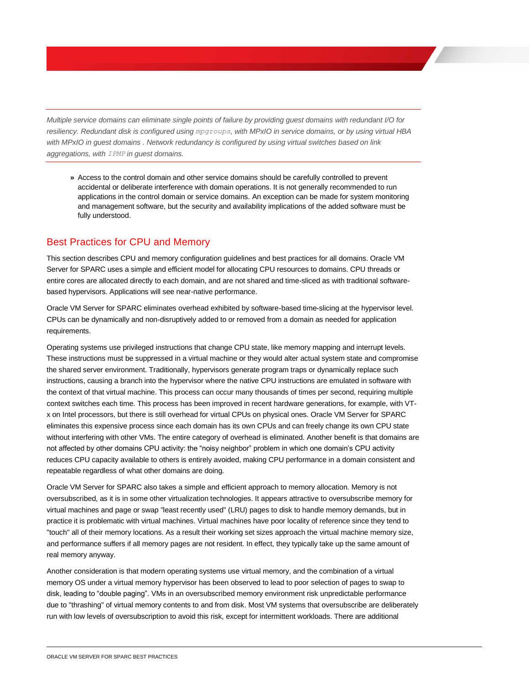*Multiple service domains can eliminate single points of failure by providing guest domains with redundant I/O for resiliency. Redundant disk is configured using mpgroups, with MPxIO in service domains, or by using virtual HBA with MPxIO in guest domains . Network redundancy is configured by using virtual switches based on link aggregations, with IPMP in guest domains.*

**»** Access to the control domain and other service domains should be carefully controlled to prevent accidental or deliberate interference with domain operations. It is not generally recommended to run applications in the control domain or service domains. An exception can be made for system monitoring and management software, but the security and availability implications of the added software must be fully understood.

## <span id="page-7-0"></span>Best Practices for CPU and Memory

This section describes CPU and memory configuration guidelines and best practices for all domains. Oracle VM Server for SPARC uses a simple and efficient model for allocating CPU resources to domains. CPU threads or entire cores are allocated directly to each domain, and are not shared and time-sliced as with traditional softwarebased hypervisors. Applications will see near-native performance.

Oracle VM Server for SPARC eliminates overhead exhibited by software-based time-slicing at the hypervisor level. CPUs can be dynamically and non-disruptively added to or removed from a domain as needed for application requirements.

Operating systems use privileged instructions that change CPU state, like memory mapping and interrupt levels. These instructions must be suppressed in a virtual machine or they would alter actual system state and compromise the shared server environment. Traditionally, hypervisors generate program traps or dynamically replace such instructions, causing a branch into the hypervisor where the native CPU instructions are emulated in software with the context of that virtual machine. This process can occur many thousands of times per second, requiring multiple context switches each time. This process has been improved in recent hardware generations, for example, with VTx on Intel processors, but there is still overhead for virtual CPUs on physical ones. Oracle VM Server for SPARC eliminates this expensive process since each domain has its own CPUs and can freely change its own CPU state without interfering with other VMs. The entire category of overhead is eliminated. Another benefit is that domains are not affected by other domains CPU activity: the "noisy neighbor" problem in which one domain's CPU activity reduces CPU capacity available to others is entirely avoided, making CPU performance in a domain consistent and repeatable regardless of what other domains are doing.

Oracle VM Server for SPARC also takes a simple and efficient approach to memory allocation. Memory is not oversubscribed, as it is in some other virtualization technologies. It appears attractive to oversubscribe memory for virtual machines and page or swap "least recently used" (LRU) pages to disk to handle memory demands, but in practice it is problematic with virtual machines. Virtual machines have poor locality of reference since they tend to "touch" all of their memory locations. As a result their working set sizes approach the virtual machine memory size, and performance suffers if all memory pages are not resident. In effect, they typically take up the same amount of real memory anyway.

Another consideration is that modern operating systems use virtual memory, and the combination of a virtual memory OS under a virtual memory hypervisor has been observed to lead to poor selection of pages to swap to disk, leading to "double paging". VMs in an oversubscribed memory environment risk unpredictable performance due to "thrashing" of virtual memory contents to and from disk. Most VM systems that oversubscribe are deliberately run with low levels of oversubscription to avoid this risk, except for intermittent workloads. There are additional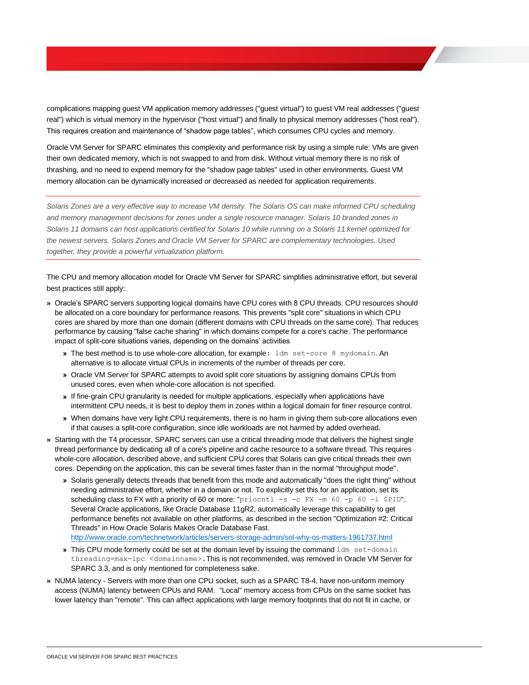complications mapping guest VM application memory addresses ("guest virtual") to guest VM real addresses ("guest real") which is virtual memory in the hypervisor ("host virtual") and finally to physical memory addresses ("host real"). This requires creation and maintenance of "shadow page tables", which consumes CPU cycles and memory.

Oracle VM Server for SPARC eliminates this complexity and performance risk by using a simple rule: VMs are given their own dedicated memory, which is not swapped to and from disk. Without virtual memory there is no risk of thrashing, and no need to expend memory for the "shadow page tables" used in other environments. Guest VM memory allocation can be dynamically increased or decreased as needed for application requirements.

*Solaris Zones are a very effective way to increase VM density. The Solaris OS can make informed CPU scheduling and memory management decisions for zones under a single resource manager. Solaris 10 branded zones in Solaris 11 domains can host applications certified for Solaris 10 while running on a Solaris 11 kernel optimized for the newest servers. Solaris Zones and Oracle VM Server for SPARC are complementary technologies. Used together, they provide a powerful virtualization platform.*

The CPU and memory allocation model for Oracle VM Server for SPARC simplifies administrative effort, but several best practices still apply:.

- **»** Oracle's SPARC servers supporting logical domains have CPU cores with 8 CPU threads. CPU resources should be allocated on a core boundary for performance reasons. This prevents "split core" situations in which CPU cores are shared by more than one domain (different domains with CPU threads on the same core). That reduces performance by causing "false cache sharing" in which domains compete for a core's cache. The performance impact of split-core situations varies, depending on the domains' activities
	- **»** The best method is to use whole-core allocation, for example: ldm set-core 8 mydomain. An alternative is to allocate virtual CPUs in increments of the number of threads per core.
	- **»** Oracle VM Server for SPARC attempts to avoid split core situations by assigning domains CPUs from unused cores, even when whole-core allocation is not specified.
	- **»** If fine-grain CPU granularity is needed for multiple applications, especially when applications have intermittent CPU needs, it is best to deploy them in zones within a logical domain for finer resource control.
	- **»** When domains have very light CPU requirements, there is no harm in giving them sub-core allocations even if that causes a split-core configuration, since idle workloads are not harmed by added overhead.
- **»** Starting with the T4 processor, SPARC servers can use a critical threading mode that delivers the highest single thread performance by dedicating all of a core's pipeline and cache resource to a software thread. This requires whole-core allocation, described above, and sufficient CPU cores that Solaris can give critical threads their own cores. Depending on the application, this can be several times faster than in the normal "throughput mode".
	- **»** Solaris generally detects threads that benefit from this mode and automatically "does the right thing" without needing administrative effort, whether in a domain or not. To explicitly set this for an application, set its scheduling class to FX with a priority of 60 or more: "priocntl -s -c FX -m 60 -p 60 -i \$PID". Several Oracle applications, like Oracle Database 11gR2, automatically leverage this capability to get performance benefits not available on other platforms, as described in the section "Optimization #2: Critical Threads" in How Oracle Solaris Makes Oracle Database Fast. <http://www.oracle.com/technetwork/articles/servers-storage-admin/sol-why-os-matters-1961737.html>
	- **»** This CPU mode formerly could be set at the domain level by issuing the command ldm set-domain threading=max-ipc <domainname>.This is not recommended, was removed in Oracle VM Server for SPARC 3.3, and is only mentioned for completeness sake.
- **»** NUMA latency Servers with more than one CPU socket, such as a SPARC T8-4, have non-uniform memory access (NUMA) latency between CPUs and RAM. "Local" memory access from CPUs on the same socket has lower latency than "remote". This can affect applications with large memory footprints that do not fit in cache, or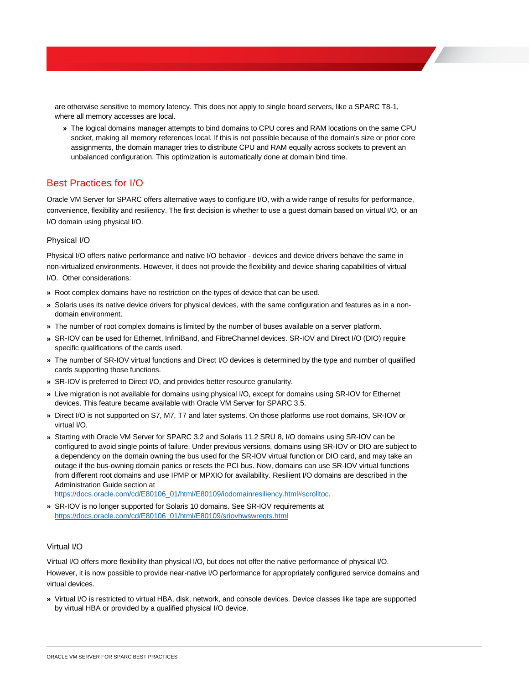are otherwise sensitive to memory latency. This does not apply to single board servers, like a SPARC T8-1, where all memory accesses are local.

**»** The logical domains manager attempts to bind domains to CPU cores and RAM locations on the same CPU socket, making all memory references local. If this is not possible because of the domain's size or prior core assignments, the domain manager tries to distribute CPU and RAM equally across sockets to prevent an unbalanced configuration. This optimization is automatically done at domain bind time.

# <span id="page-9-0"></span>Best Practices for I/O

Oracle VM Server for SPARC offers alternative ways to configure I/O, with a wide range of results for performance, convenience, flexibility and resiliency. The first decision is whether to use a guest domain based on virtual I/O, or an I/O domain using physical I/O.

### <span id="page-9-1"></span>Physical I/O

Physical I/O offers native performance and native I/O behavior - devices and device drivers behave the same in non-virtualized environments. However, it does not provide the flexibility and device sharing capabilities of virtual I/O. Other considerations:

- **»** Root complex domains have no restriction on the types of device that can be used.
- **»** Solaris uses its native device drivers for physical devices, with the same configuration and features as in a nondomain environment.
- **»** The number of root complex domains is limited by the number of buses available on a server platform.
- **»** SR-IOV can be used for Ethernet, InfiniBand, and FibreChannel devices. SR-IOV and Direct I/O (DIO) require specific qualifications of the cards used.
- **»** The number of SR-IOV virtual functions and Direct I/O devices is determined by the type and number of qualified cards supporting those functions.
- **»** SR-IOV is preferred to Direct I/O, and provides better resource granularity.
- **»** Live migration is not available for domains using physical I/O, except for domains using SR-IOV for Ethernet devices. This feature became available with Oracle VM Server for SPARC 3.5.
- **»** Direct I/O is not supported on S7, M7, T7 and later systems. On those platforms use root domains, SR-IOV or virtual I/O.
- **»** Starting with Oracle VM Server for SPARC 3.2 and Solaris 11.2 SRU 8, I/O domains using SR-IOV can be configured to avoid single points of failure. Under previous versions, domains using SR-IOV or DIO are subject to a dependency on the domain owning the bus used for the SR-IOV virtual function or DIO card, and may take an outage if the bus-owning domain panics or resets the PCI bus. Now, domains can use SR-IOV virtual functions from different root domains and use IPMP or MPXIO for availability. Resilient I/O domains are described in the Administration Guide section at

[https://docs.oracle.com/cd/E80106\\_01/html/E80109/iodomainresiliency.html#scrolltoc.](https://docs.oracle.com/cd/E80106_01/html/E80109/iodomainresiliency.html#scrolltoc)

**»** SR-IOV is no longer supported for Solaris 10 domains. See SR-IOV requirements at [https://docs.oracle.com/cd/E80106\\_01/html/E80109/sriovhwswreqts.html](https://docs.oracle.com/cd/E80106_01/html/E80109/sriovhwswreqts.html)

#### <span id="page-9-2"></span>Virtual I/O

Virtual I/O offers more flexibility than physical I/O, but does not offer the native performance of physical I/O. However, it is now possible to provide near-native I/O performance for appropriately configured service domains and virtual devices.

**»** Virtual I/O is restricted to virtual HBA, disk, network, and console devices. Device classes like tape are supported by virtual HBA or provided by a qualified physical I/O device.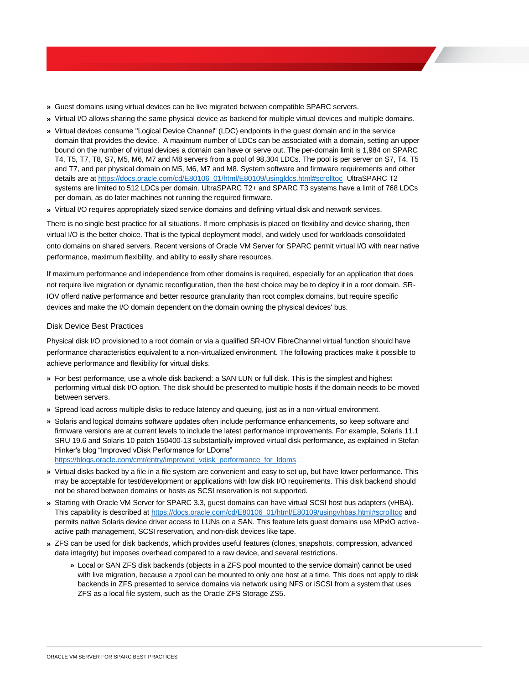- **»** Guest domains using virtual devices can be live migrated between compatible SPARC servers.
- **»** Virtual I/O allows sharing the same physical device as backend for multiple virtual devices and multiple domains.
- **»** Virtual devices consume "Logical Device Channel" (LDC) endpoints in the guest domain and in the service domain that provides the device. A maximum number of LDCs can be associated with a domain, setting an upper bound on the number of virtual devices a domain can have or serve out. The per-domain limit is 1,984 on SPARC T4, T5, T7, T8, S7, M5, M6, M7 and M8 servers from a pool of 98,304 LDCs. The pool is per server on S7, T4, T5 and T7, and per physical domain on M5, M6, M7 and M8. System software and firmware requirements and other details are a[t https://docs.oracle.com/cd/E80106\\_01/html/E80109/usingldcs.html#scrolltoc](https://docs.oracle.com/cd/E80106_01/html/E80109/usingldcs.html#scrolltoc) UltraSPARC T2 systems are limited to 512 LDCs per domain. UltraSPARC T2+ and SPARC T3 systems have a limit of 768 LDCs per domain, as do later machines not running the required firmware.
- **»** Virtual I/O requires appropriately sized service domains and defining virtual disk and network services.

There is no single best practice for all situations. If more emphasis is placed on flexibility and device sharing, then virtual I/O is the better choice. That is the typical deployment model, and widely used for workloads consolidated onto domains on shared servers. Recent versions of Oracle VM Server for SPARC permit virtual I/O with near native performance, maximum flexibility, and ability to easily share resources.

If maximum performance and independence from other domains is required, especially for an application that does not require live migration or dynamic reconfiguration, then the best choice may be to deploy it in a root domain. SR-IOV offerd native performance and better resource granularity than root complex domains, but require specific devices and make the I/O domain dependent on the domain owning the physical devices' bus.

#### <span id="page-10-0"></span>Disk Device Best Practices

Physical disk I/O provisioned to a root domain or via a qualified SR-IOV FibreChannel virtual function should have performance characteristics equivalent to a non-virtualized environment. The following practices make it possible to achieve performance and flexibility for virtual disks.

- **»** For best performance, use a whole disk backend: a SAN LUN or full disk. This is the simplest and highest performing virtual disk I/O option. The disk should be presented to multiple hosts if the domain needs to be moved between servers.
- **»** Spread load across multiple disks to reduce latency and queuing, just as in a non-virtual environment.
- **»** Solaris and logical domains software updates often include performance enhancements, so keep software and firmware versions are at current levels to include the latest performance improvements. For example, Solaris 11.1 SRU 19.6 and Solaris 10 patch 150400-13 substantially improved virtual disk performance, as explained in Stefan Hinker's blog "Improved vDisk Performance for LDoms" [https://blogs.oracle.com/cmt/entry/improved\\_vdisk\\_performance\\_for\\_ldoms](https://blogs.oracle.com/cmt/entry/improved_vdisk_performance_for_ldoms)
- **»** Virtual disks backed by a file in a file system are convenient and easy to set up, but have lower performance. This may be acceptable for test/development or applications with low disk I/O requirements. This disk backend should not be shared between domains or hosts as SCSI reservation is not supported.
- **»** Starting with Oracle VM Server for SPARC 3.3, guest domains can have virtual SCSI host bus adapters (vHBA). This capability is described at [https://docs.oracle.com/cd/E80106\\_01/html/E80109/usingvhbas.html#scrolltoc](https://docs.oracle.com/cd/E80106_01/html/E80109/usingvhbas.html#scrolltoc) and permits native Solaris device driver access to LUNs on a SAN. This feature lets guest domains use MPxIO activeactive path management, SCSI reservation, and non-disk devices like tape.
- **»** ZFS can be used for disk backends, which provides useful features (clones, snapshots, compression, advanced data integrity) but imposes overhead compared to a raw device, and several restrictions.
	- **»** Local or SAN ZFS disk backends (objects in a ZFS pool mounted to the service domain) cannot be used with live migration, because a zpool can be mounted to only one host at a time. This does not apply to disk backends in ZFS presented to service domains via network using NFS or iSCSI from a system that uses ZFS as a local file system, such as the Oracle ZFS Storage ZS5.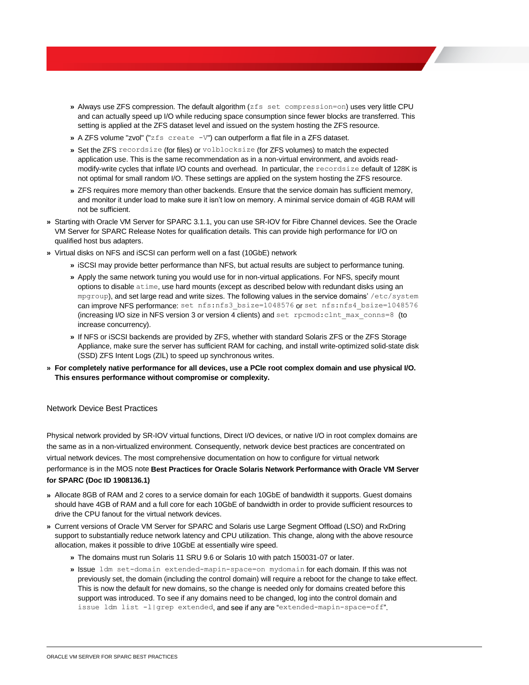- **»** Always use ZFS compression. The default algorithm (zfs set compression=on) uses very little CPU and can actually speed up I/O while reducing space consumption since fewer blocks are transferred. This setting is applied at the ZFS dataset level and issued on the system hosting the ZFS resource.
- **»** A ZFS volume "zvol" ("zfs create -V") can outperform a flat file in a ZFS dataset.
- **»** Set the ZFS recordsize (for files) or volblocksize (for ZFS volumes) to match the expected application use. This is the same recommendation as in a non-virtual environment, and avoids readmodify-write cycles that inflate I/O counts and overhead. In particular, the recordsize default of 128K is not optimal for small random I/O. These settings are applied on the system hosting the ZFS resource.
- **»** ZFS requires more memory than other backends. Ensure that the service domain has sufficient memory, and monitor it under load to make sure it isn't low on memory. A minimal service domain of 4GB RAM will not be sufficient.
- **»** Starting with Oracle VM Server for SPARC 3.1.1, you can use SR-IOV for Fibre Channel devices. See the Oracle VM Server for SPARC Release Notes for qualification details. This can provide high performance for I/O on qualified host bus adapters.
- **»** Virtual disks on NFS and iSCSI can perform well on a fast (10GbE) network
	- **»** iSCSI may provide better performance than NFS, but actual results are subject to performance tuning.
	- **»** Apply the same network tuning you would use for in non-virtual applications. For NFS, specify mount options to disable atime, use hard mounts (except as described below with redundant disks using an mpgroup), and set large read and write sizes. The following values in the service domains' /etc/system can improve NFS performance: set nfs:nfs3 bsize=1048576 or set nfs:nfs4 bsize=1048576 (increasing I/O size in NFS version 3 or version 4 clients) and set rpcmod:clnt max conns=8 (to increase concurrency).
	- **»** If NFS or iSCSI backends are provided by ZFS, whether with standard Solaris ZFS or the ZFS Storage Appliance, make sure the server has sufficient RAM for caching, and install write-optimized solid-state disk (SSD) ZFS Intent Logs (ZIL) to speed up synchronous writes.
- **» For completely native performance for all devices, use a PCIe root complex domain and use physical I/O. This ensures performance without compromise or complexity.**

#### <span id="page-11-0"></span>Network Device Best Practices

Physical network provided by SR-IOV virtual functions, Direct I/O devices, or native I/O in root complex domains are the same as in a non-virtualized environment. Consequently, network device best practices are concentrated on virtual network devices. The most comprehensive documentation on how to configure for virtual network performance is in the MOS note **Best Practices for Oracle Solaris Network Performance with Oracle VM Server for SPARC (Doc ID 1908136.1)**

- **»** Allocate 8GB of RAM and 2 cores to a service domain for each 10GbE of bandwidth it supports. Guest domains should have 4GB of RAM and a full core for each 10GbE of bandwidth in order to provide sufficient resources to drive the CPU fanout for the virtual network devices.
- **»** Current versions of Oracle VM Server for SPARC and Solaris use Large Segment Offload (LSO) and RxDring support to substantially reduce network latency and CPU utilization. This change, along with the above resource allocation, makes it possible to drive 10GbE at essentially wire speed.
	- **»** The domains must run Solaris 11 SRU 9.6 or Solaris 10 with patch 150031-07 or later.
	- **»** Issue ldm set-domain extended-mapin-space=on mydomain for each domain. If this was not previously set, the domain (including the control domain) will require a reboot for the change to take effect. This is now the default for new domains, so the change is needed only for domains created before this support was introduced. To see if any domains need to be changed, log into the control domain and issue ldm list -l|grep extended, and see if any are "extended-mapin-space=off".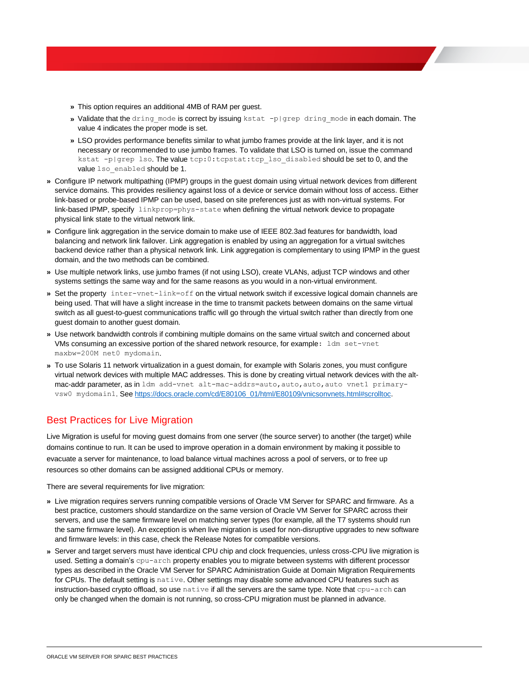- **»** This option requires an additional 4MB of RAM per guest.
- **»** Validate that the dring\_mode is correct by issuing kstat -p|grep dring\_mode in each domain. The value 4 indicates the proper mode is set.
- **»** LSO provides performance benefits similar to what jumbo frames provide at the link layer, and it is not necessary or recommended to use jumbo frames. To validate that LSO is turned on, issue the command kstat -p|grep lso. The value tcp:0:tcpstat:tcp\_lso\_disabled should be set to 0, and the value lso enabled should be 1.
- **»** Configure IP network multipathing (IPMP) groups in the guest domain using virtual network devices from different service domains. This provides resiliency against loss of a device or service domain without loss of access. Either link-based or probe-based IPMP can be used, based on site preferences just as with non-virtual systems. For link-based IPMP, specify linkprop=phys-state when defining the virtual network device to propagate physical link state to the virtual network link.
- **»** Configure link aggregation in the service domain to make use of IEEE 802.3ad features for bandwidth, load balancing and network link failover. Link aggregation is enabled by using an aggregation for a virtual switches backend device rather than a physical network link. Link aggregation is complementary to using IPMP in the guest domain, and the two methods can be combined.
- **»** Use multiple network links, use jumbo frames (if not using LSO), create VLANs, adjust TCP windows and other systems settings the same way and for the same reasons as you would in a non-virtual environment.
- **»** Set the property inter-vnet-link=off on the virtual network switch if excessive logical domain channels are being used. That will have a slight increase in the time to transmit packets between domains on the same virtual switch as all guest-to-guest communications traffic will go through the virtual switch rather than directly from one guest domain to another guest domain.
- **»** Use network bandwidth controls if combining multiple domains on the same virtual switch and concerned about VMs consuming an excessive portion of the shared network resource, for example: ldm set-vnet maxbw=200M net0 mydomain.
- **»** To use Solaris 11 network virtualization in a guest domain, for example with Solaris zones, you must configure virtual network devices with multiple MAC addresses. This is done by creating virtual network devices with the altmac-addr parameter, as in ldm add-vnet alt-mac-addrs=auto, auto, auto, auto vnet1 primaryvsw0 mydomain1. See [https://docs.oracle.com/cd/E80106\\_01/html/E80109/vnicsonvnets.html#scrolltoc.](https://docs.oracle.com/cd/E80106_01/html/E80109/vnicsonvnets.html#scrolltoc)

### <span id="page-12-0"></span>Best Practices for Live Migration

Live Migration is useful for moving guest domains from one server (the source server) to another (the target) while domains continue to run. It can be used to improve operation in a domain environment by making it possible to evacuate a server for maintenance, to load balance virtual machines across a pool of servers, or to free up resources so other domains can be assigned additional CPUs or memory.

There are several requirements for live migration:

- **»** Live migration requires servers running compatible versions of Oracle VM Server for SPARC and firmware. As a best practice, customers should standardize on the same version of Oracle VM Server for SPARC across their servers, and use the same firmware level on matching server types (for example, all the T7 systems should run the same firmware level). An exception is when live migration is used for non-disruptive upgrades to new software and firmware levels: in this case, check the Release Notes for compatible versions.
- **»** Server and target servers must have identical CPU chip and clock frequencies, unless cross-CPU live migration is used. Setting a domain's cpu-arch property enables you to migrate between systems with different processor types as described in the Oracle VM Server for SPARC Administration Guide at Domain Migration Requirements for CPUs. The default setting is native. Other settings may disable some advanced CPU features such as instruction-based crypto offload, so use native if all the servers are the same type. Note that cpu-arch can only be changed when the domain is not running, so cross-CPU migration must be planned in advance.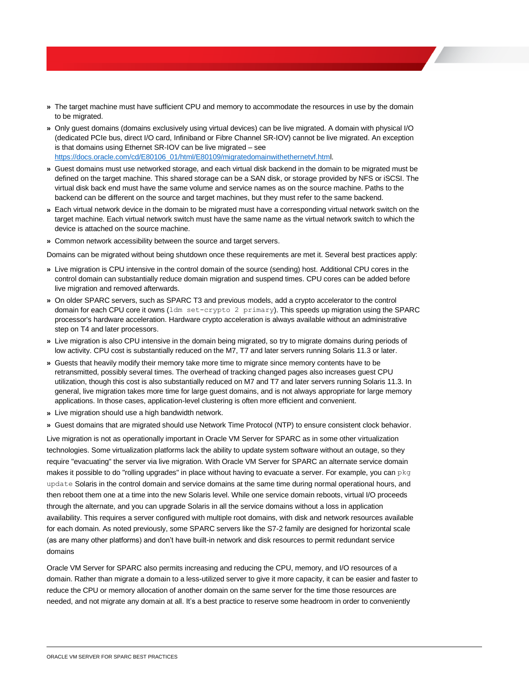- **»** The target machine must have sufficient CPU and memory to accommodate the resources in use by the domain to be migrated.
- **»** Only guest domains (domains exclusively using virtual devices) can be live migrated. A domain with physical I/O (dedicated PCIe bus, direct I/O card, Infiniband or Fibre Channel SR-IOV) cannot be live migrated. An exception is that domains using Ethernet SR-IOV can be live migrated – see [https://docs.oracle.com/cd/E80106\\_01/html/E80109/migratedomainwithethernetvf.html.](https://docs.oracle.com/cd/E80106_01/html/E80109/migratedomainwithethernetvf.html)
- **»** Guest domains must use networked storage, and each virtual disk backend in the domain to be migrated must be defined on the target machine. This shared storage can be a SAN disk, or storage provided by NFS or iSCSI. The virtual disk back end must have the same volume and service names as on the source machine. Paths to the backend can be different on the source and target machines, but they must refer to the same backend.
- **»** Each virtual network device in the domain to be migrated must have a corresponding virtual network switch on the target machine. Each virtual network switch must have the same name as the virtual network switch to which the device is attached on the source machine.
- **»** Common network accessibility between the source and target servers.

Domains can be migrated without being shutdown once these requirements are met it. Several best practices apply:

- **»** Live migration is CPU intensive in the control domain of the source (sending) host. Additional CPU cores in the control domain can substantially reduce domain migration and suspend times. CPU cores can be added before live migration and removed afterwards.
- **»** On older SPARC servers, such as SPARC T3 and previous models, add a crypto accelerator to the control domain for each CPU core it owns (ldm set-crypto 2 primary). This speeds up migration using the SPARC processor's hardware acceleration. Hardware crypto acceleration is always available without an administrative step on T4 and later processors.
- **»** Live migration is also CPU intensive in the domain being migrated, so try to migrate domains during periods of low activity. CPU cost is substantially reduced on the M7, T7 and later servers running Solaris 11.3 or later.
- **»** Guests that heavily modify their memory take more time to migrate since memory contents have to be retransmitted, possibly several times. The overhead of tracking changed pages also increases guest CPU utilization, though this cost is also substantially reduced on M7 and T7 and later servers running Solaris 11.3. In general, live migration takes more time for large guest domains, and is not always appropriate for large memory applications. In those cases, application-level clustering is often more efficient and convenient.
- **»** Live migration should use a high bandwidth network.
- **»** Guest domains that are migrated should use Network Time Protocol (NTP) to ensure consistent clock behavior.

Live migration is not as operationally important in Oracle VM Server for SPARC as in some other virtualization technologies. Some virtualization platforms lack the ability to update system software without an outage, so they require "evacuating" the server via live migration. With Oracle VM Server for SPARC an alternate service domain makes it possible to do "rolling upgrades" in place without having to evacuate a server. For example, you can pkg update Solaris in the control domain and service domains at the same time during normal operational hours, and then reboot them one at a time into the new Solaris level. While one service domain reboots, virtual I/O proceeds through the alternate, and you can upgrade Solaris in all the service domains without a loss in application availability. This requires a server configured with multiple root domains, with disk and network resources available for each domain. As noted previously, some SPARC servers like the S7-2 family are designed for horizontal scale (as are many other platforms) and don't have built-in network and disk resources to permit redundant service domains

Oracle VM Server for SPARC also permits increasing and reducing the CPU, memory, and I/O resources of a domain. Rather than migrate a domain to a less-utilized server to give it more capacity, it can be easier and faster to reduce the CPU or memory allocation of another domain on the same server for the time those resources are needed, and not migrate any domain at all. It's a best practice to reserve some headroom in order to conveniently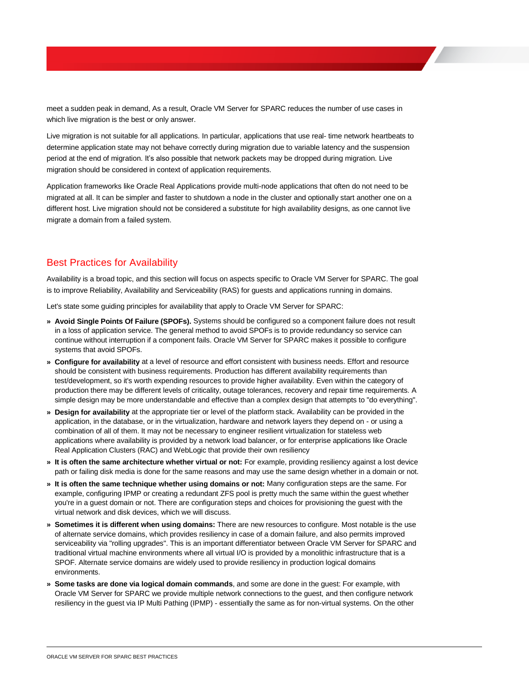meet a sudden peak in demand, As a result, Oracle VM Server for SPARC reduces the number of use cases in which live migration is the best or only answer.

Live migration is not suitable for all applications. In particular, applications that use real- time network heartbeats to determine application state may not behave correctly during migration due to variable latency and the suspension period at the end of migration. It's also possible that network packets may be dropped during migration. Live migration should be considered in context of application requirements.

Application frameworks like Oracle Real Applications provide multi-node applications that often do not need to be migrated at all. It can be simpler and faster to shutdown a node in the cluster and optionally start another one on a different host. Live migration should not be considered a substitute for high availability designs, as one cannot live migrate a domain from a failed system.

### <span id="page-14-0"></span>Best Practices for Availability

Availability is a broad topic, and this section will focus on aspects specific to Oracle VM Server for SPARC. The goal is to improve Reliability, Availability and Serviceability (RAS) for guests and applications running in domains.

Let's state some guiding principles for availability that apply to Oracle VM Server for SPARC:

- **» Avoid Single Points Of Failure (SPOFs).** Systems should be configured so a component failure does not result in a loss of application service. The general method to avoid SPOFs is to provide redundancy so service can continue without interruption if a component fails. Oracle VM Server for SPARC makes it possible to configure systems that avoid SPOFs.
- **» Configure for availability** at a level of resource and effort consistent with business needs. Effort and resource should be consistent with business requirements. Production has different availability requirements than test/development, so it's worth expending resources to provide higher availability. Even within the category of production there may be different levels of criticality, outage tolerances, recovery and repair time requirements. A simple design may be more understandable and effective than a complex design that attempts to "do everything".
- **» Design for availability** at the appropriate tier or level of the platform stack. Availability can be provided in the application, in the database, or in the virtualization, hardware and network layers they depend on - or using a combination of all of them. It may not be necessary to engineer resilient virtualization for stateless web applications where availability is provided by a network load balancer, or for enterprise applications like Oracle Real Application Clusters (RAC) and WebLogic that provide their own resiliency
- **» It is often the same architecture whether virtual or not:** For example, providing resiliency against a lost device path or failing disk media is done for the same reasons and may use the same design whether in a domain or not.
- **» It is often the same technique whether using domains or not:** Many configuration steps are the same. For example, configuring IPMP or creating a redundant ZFS pool is pretty much the same within the guest whether you're in a guest domain or not. There are configuration steps and choices for provisioning the guest with the virtual network and disk devices, which we will discuss.
- **» Sometimes it is different when using domains:** There are new resources to configure. Most notable is the use of alternate service domains, which provides resiliency in case of a domain failure, and also permits improved serviceability via "rolling upgrades". This is an important differentiator between Oracle VM Server for SPARC and traditional virtual machine environments where all virtual I/O is provided by a monolithic infrastructure that is a SPOF. Alternate service domains are widely used to provide resiliency in production logical domains environments.
- **» Some tasks are done via logical domain commands**, and some are done in the guest: For example, with Oracle VM Server for SPARC we provide multiple network connections to the guest, and then configure network resiliency in the guest via IP Multi Pathing (IPMP) - essentially the same as for non-virtual systems. On the other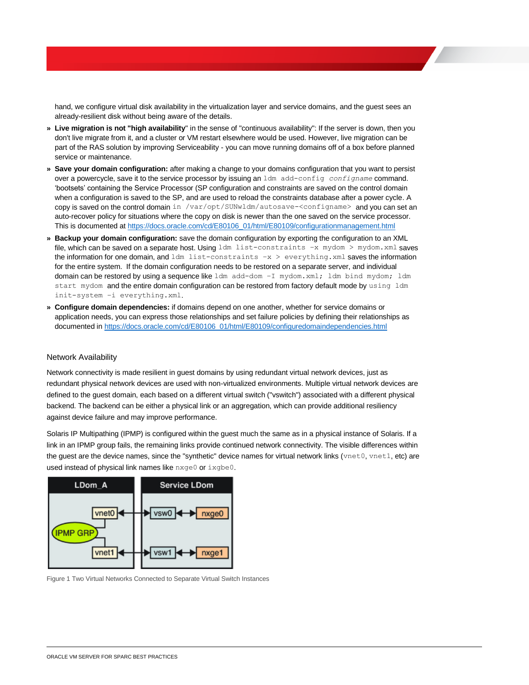hand, we configure virtual disk availability in the virtualization layer and service domains, and the guest sees an already-resilient disk without being aware of the details.

- **» Live migration is not "high availability**" in the sense of "continuous availability": If the server is down, then you don't live migrate from it, and a cluster or VM restart elsewhere would be used. However, live migration can be part of the RAS solution by improving Serviceability - you can move running domains off of a box before planned service or maintenance.
- **» Save your domain configuration:** after making a change to your domains configuration that you want to persist over a powercycle, save it to the service processor by issuing an ldm add-config *configname* command. 'bootsets' containing the Service Processor (SP configuration and constraints are saved on the control domain when a configuration is saved to the SP, and are used to reload the constraints database after a power cycle. A copy is saved on the control domain in /var/opt/SUNwldm/autosave-<configname> and you can set an auto-recover policy for situations where the copy on disk is newer than the one saved on the service processor. This is documented at [https://docs.oracle.com/cd/E80106\\_01/html/E80109/configurationmanagement.html](https://docs.oracle.com/cd/E80106_01/html/E80109/configurationmanagement.html)
- **» Backup your domain configuration:** save the domain configuration by exporting the configuration to an XML file, which can be saved on a separate host. Using  $ldm$  list-constraints -x mydom > mydom.xml saves the information for one domain, and  $\text{ldm}\text{ list-constants } -x > \text{everything.xml}$  saves the information for the entire system. If the domain configuration needs to be restored on a separate server, and individual domain can be restored by using a sequence like ldm add-dom -I mydom.xml; ldm bind mydom; ldm start mydom and the entire domain configuration can be restored from factory default mode by using ldm init-system –i everything.xml.
- **» Configure domain dependencies:** if domains depend on one another, whether for service domains or application needs, you can express those relationships and set failure policies by defining their relationships as documented in [https://docs.oracle.com/cd/E80106\\_01/html/E80109/configuredomaindependencies.html](https://docs.oracle.com/cd/E80106_01/html/E80109/configuredomaindependencies.html)

#### <span id="page-15-0"></span>Network Availability

Network connectivity is made resilient in guest domains by using redundant virtual network devices, just as redundant physical network devices are used with non-virtualized environments. Multiple virtual network devices are defined to the guest domain, each based on a different virtual switch ("vswitch") associated with a different physical backend. The backend can be either a physical link or an aggregation, which can provide additional resiliency against device failure and may improve performance.

Solaris IP Multipathing (IPMP) is configured within the guest much the same as in a physical instance of Solaris. If a link in an IPMP group fails, the remaining links provide continued network connectivity. The visible differences within the guest are the device names, since the "synthetic" device names for virtual network links (vnet0, vnet1, etc) are used instead of physical link names like nxge0 or ixgbe0.



Figure 1 Two Virtual Networks Connected to Separate Virtual Switch Instances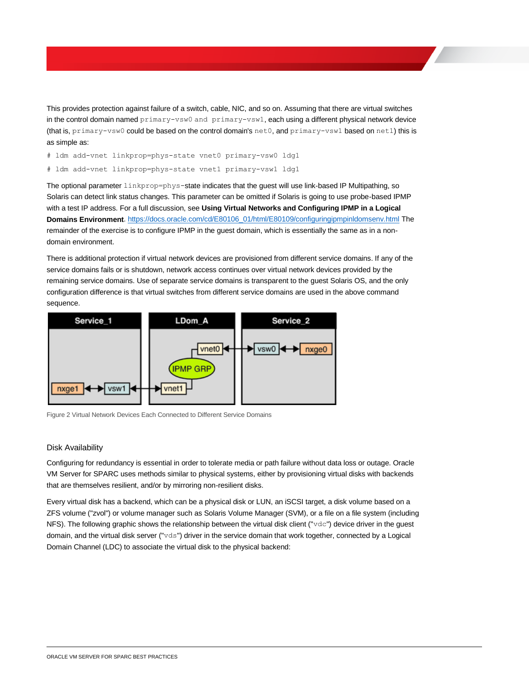This provides protection against failure of a switch, cable, NIC, and so on. Assuming that there are virtual switches in the control domain named primary-vsw0 and primary-vsw1, each using a different physical network device (that is, primary-vsw0 could be based on the control domain's net0, and primary-vsw1 based on net1) this is as simple as:

# ldm add-vnet linkprop=phys-state vnet0 primary-vsw0 ldg1

# ldm add-vnet linkprop=phys-state vnet1 primary-vsw1 ldg1

The optional parameter linkprop=phys-state indicates that the guest will use link-based IP Multipathing, so Solaris can detect link status changes. This parameter can be omitted if Solaris is going to use probe-based IPMP with a test IP address. For a full discussion, see **Using Virtual Networks and Configuring IPMP in a Logical Domains Environment**. [https://docs.oracle.com/cd/E80106\\_01/html/E80109/configuringipmpinldomsenv.html](https://docs.oracle.com/cd/E80106_01/html/E80109/configuringipmpinldomsenv.html) The remainder of the exercise is to configure IPMP in the guest domain, which is essentially the same as in a nondomain environment.

There is additional protection if virtual network devices are provisioned from different service domains. If any of the service domains fails or is shutdown, network access continues over virtual network devices provided by the remaining service domains. Use of separate service domains is transparent to the guest Solaris OS, and the only configuration difference is that virtual switches from different service domains are used in the above command sequence.



Figure 2 Virtual Network Devices Each Connected to Different Service Domains

#### <span id="page-16-0"></span>Disk Availability

Configuring for redundancy is essential in order to tolerate media or path failure without data loss or outage. Oracle VM Server for SPARC uses methods similar to physical systems, either by provisioning virtual disks with backends that are themselves resilient, and/or by mirroring non-resilient disks.

Every virtual disk has a backend, which can be a physical disk or LUN, an iSCSI target, a disk volume based on a ZFS volume ("zvol") or volume manager such as Solaris Volume Manager (SVM), or a file on a file system (including NFS). The following graphic shows the relationship between the virtual disk client ("vdc") device driver in the guest domain, and the virtual disk server ("vds") driver in the service domain that work together, connected by a Logical Domain Channel (LDC) to associate the virtual disk to the physical backend: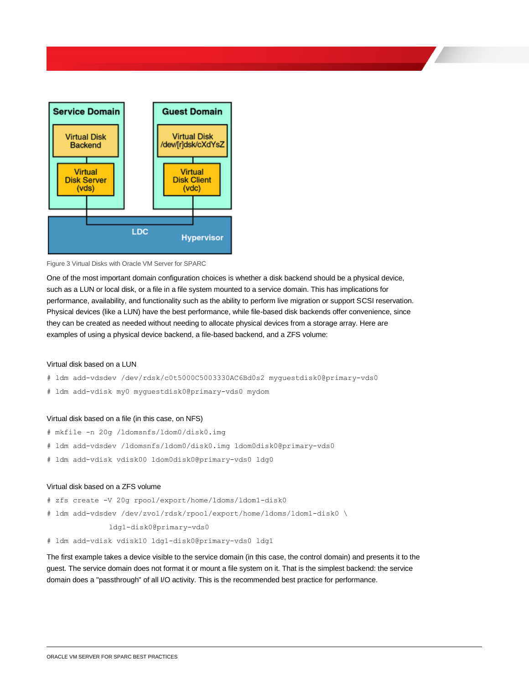

#### Figure 3 Virtual Disks with Oracle VM Server for SPARC

One of the most important domain configuration choices is whether a disk backend should be a physical device, such as a LUN or local disk, or a file in a file system mounted to a service domain. This has implications for performance, availability, and functionality such as the ability to perform live migration or support SCSI reservation. Physical devices (like a LUN) have the best performance, while file-based disk backends offer convenience, since they can be created as needed without needing to allocate physical devices from a storage array. Here are examples of using a physical device backend, a file-based backend, and a ZFS volume:

#### Virtual disk based on a LUN

- # ldm add-vdsdev /dev/rdsk/c0t5000C5003330AC6Bd0s2 myguestdisk0@primary-vds0
- # ldm add-vdisk my0 myguestdisk0@primary-vds0 mydom

#### Virtual disk based on a file (in this case, on NFS)

- # mkfile -n 20g /ldomsnfs/ldom0/disk0.img
- # ldm add-vdsdev /ldomsnfs/ldom0/disk0.img ldom0disk0@primary-vds0
- # ldm add-vdisk vdisk00 ldom0disk0@primary-vds0 ldg0

#### Virtual disk based on a ZFS volume

- # zfs create -V 20g rpool/export/home/ldoms/ldom1-disk0
- # ldm add-vdsdev /dev/zvol/rdsk/rpool/export/home/ldoms/ldom1-disk0 \

#### ldg1-disk0@primary-vds0

# ldm add-vdisk vdisk10 ldg1-disk0@primary-vds0 ldg1

The first example takes a device visible to the service domain (in this case, the control domain) and presents it to the guest. The service domain does not format it or mount a file system on it. That is the simplest backend: the service domain does a "passthrough" of all I/O activity. This is the recommended best practice for performance.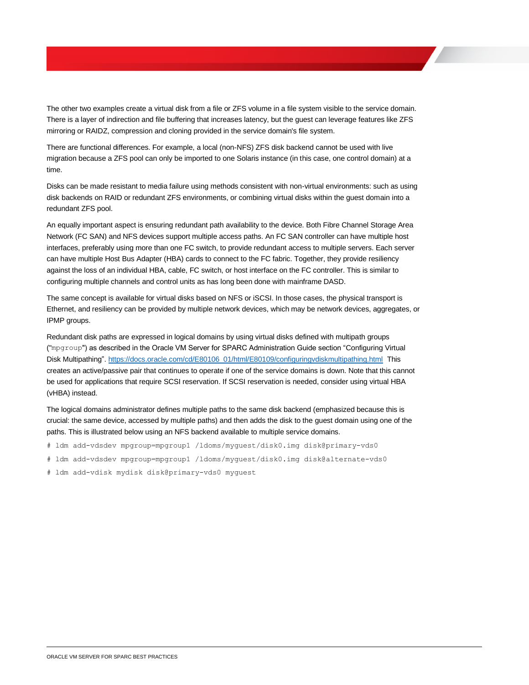The other two examples create a virtual disk from a file or ZFS volume in a file system visible to the service domain. There is a layer of indirection and file buffering that increases latency, but the guest can leverage features like ZFS mirroring or RAIDZ, compression and cloning provided in the service domain's file system.

There are functional differences. For example, a local (non-NFS) ZFS disk backend cannot be used with live migration because a ZFS pool can only be imported to one Solaris instance (in this case, one control domain) at a time.

Disks can be made resistant to media failure using methods consistent with non-virtual environments: such as using disk backends on RAID or redundant ZFS environments, or combining virtual disks within the guest domain into a redundant ZFS pool.

An equally important aspect is ensuring redundant path availability to the device. Both Fibre Channel Storage Area Network (FC SAN) and NFS devices support multiple access paths. An FC SAN controller can have multiple host interfaces, preferably using more than one FC switch, to provide redundant access to multiple servers. Each server can have multiple Host Bus Adapter (HBA) cards to connect to the FC fabric. Together, they provide resiliency against the loss of an individual HBA, cable, FC switch, or host interface on the FC controller. This is similar to configuring multiple channels and control units as has long been done with mainframe DASD.

The same concept is available for virtual disks based on NFS or iSCSI. In those cases, the physical transport is Ethernet, and resiliency can be provided by multiple network devices, which may be network devices, aggregates, or IPMP groups.

Redundant disk paths are expressed in logical domains by using virtual disks defined with multipath groups ("mpgroup") as described in the Oracle VM Server for SPARC Administration Guide section "Configuring Virtual Disk Multipathing"[. https://docs.oracle.com/cd/E80106\\_01/html/E80109/configuringvdiskmultipathing.html](https://docs.oracle.com/cd/E80106_01/html/E80109/configuringvdiskmultipathing.html) This creates an active/passive pair that continues to operate if one of the service domains is down. Note that this cannot be used for applications that require SCSI reservation. If SCSI reservation is needed, consider using virtual HBA (vHBA) instead.

The logical domains administrator defines multiple paths to the same disk backend (emphasized because this is crucial: the same device, accessed by multiple paths) and then adds the disk to the guest domain using one of the paths. This is illustrated below using an NFS backend available to multiple service domains.

- # ldm add-vdsdev mpgroup=mpgroup1 /ldoms/myguest/disk0.img disk@primary-vds0
- # ldm add-vdsdev mpgroup=mpgroup1 /ldoms/myguest/disk0.img disk@alternate-vds0
- # ldm add-vdisk mydisk disk@primary-vds0 myguest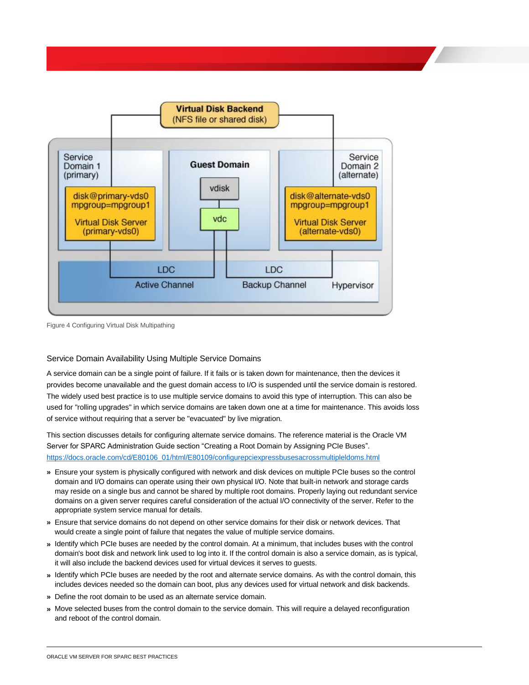

Figure 4 Configuring Virtual Disk Multipathing

#### <span id="page-19-0"></span>Service Domain Availability Using Multiple Service Domains

A service domain can be a single point of failure. If it fails or is taken down for maintenance, then the devices it provides become unavailable and the guest domain access to I/O is suspended until the service domain is restored. The widely used best practice is to use multiple service domains to avoid this type of interruption. This can also be used for "rolling upgrades" in which service domains are taken down one at a time for maintenance. This avoids loss of service without requiring that a server be "evacuated" by live migration.

This section discusses details for configuring alternate service domains. The reference material is the Oracle VM Server for SPARC Administration Guide section "Creating a Root Domain by Assigning PCIe Buses". [https://docs.oracle.com/cd/E80106\\_01/html/E80109/configurepciexpressbusesacrossmultipleldoms.html](https://docs.oracle.com/cd/E80106_01/html/E80109/configurepciexpressbusesacrossmultipleldoms.html)

- **»** Ensure your system is physically configured with network and disk devices on multiple PCIe buses so the control domain and I/O domains can operate using their own physical I/O. Note that built-in network and storage cards may reside on a single bus and cannot be shared by multiple root domains. Properly laying out redundant service domains on a given server requires careful consideration of the actual I/O connectivity of the server. Refer to the appropriate system service manual for details.
- **»** Ensure that service domains do not depend on other service domains for their disk or network devices. That would create a single point of failure that negates the value of multiple service domains.
- **»** Identify which PCIe buses are needed by the control domain. At a minimum, that includes buses with the control domain's boot disk and network link used to log into it. If the control domain is also a service domain, as is typical, it will also include the backend devices used for virtual devices it serves to guests.
- **»** Identify which PCIe buses are needed by the root and alternate service domains. As with the control domain, this includes devices needed so the domain can boot, plus any devices used for virtual network and disk backends.
- **»** Define the root domain to be used as an alternate service domain.
- **»** Move selected buses from the control domain to the service domain. This will require a delayed reconfiguration and reboot of the control domain.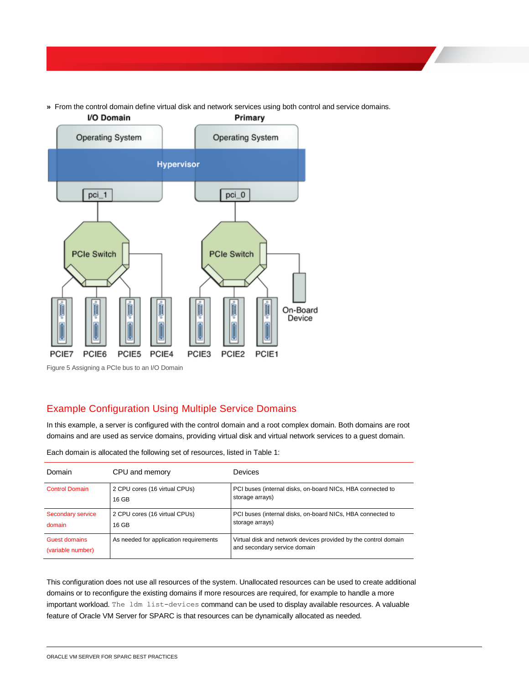**»** From the control domain define virtual disk and network services using both control and service domains.



# <span id="page-20-0"></span>Example Configuration Using Multiple Service Domains

In this example, a server is configured with the control domain and a root complex domain. Both domains are root domains and are used as service domains, providing virtual disk and virtual network services to a guest domain.

| Domain                             | CPU and memory                         | <b>Devices</b>                                                                                  |
|------------------------------------|----------------------------------------|-------------------------------------------------------------------------------------------------|
| <b>Control Domain</b>              | 2 CPU cores (16 virtual CPUs)<br>16 GB | PCI buses (internal disks, on-board NICs, HBA connected to<br>storage arrays)                   |
| Secondary service<br>domain        | 2 CPU cores (16 virtual CPUs)<br>16 GB | PCI buses (internal disks, on-board NICs, HBA connected to<br>storage arrays)                   |
| Guest domains<br>(variable number) | As needed for application requirements | Virtual disk and network devices provided by the control domain<br>and secondary service domain |

Each domain is allocated the following set of resources, listed in Table 1:

This configuration does not use all resources of the system. Unallocated resources can be used to create additional domains or to reconfigure the existing domains if more resources are required, for example to handle a more important workload. The ldm list-devices command can be used to display available resources. A valuable feature of Oracle VM Server for SPARC is that resources can be dynamically allocated as needed.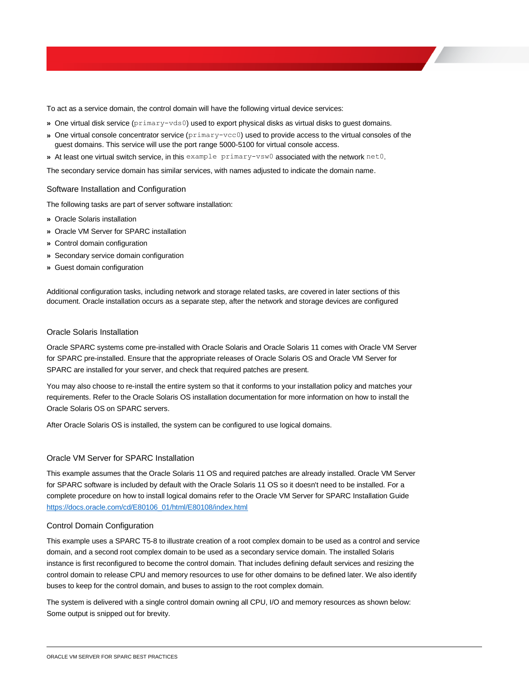To act as a service domain, the control domain will have the following virtual device services:

- **»** One virtual disk service (primary-vds0) used to export physical disks as virtual disks to guest domains.
- **»** One virtual console concentrator service (primary-vcc0) used to provide access to the virtual consoles of the guest domains. This service will use the port range 5000-5100 for virtual console access.
- **»** At least one virtual switch service, in this example primary-vsw0 associated with the network net0.

The secondary service domain has similar services, with names adjusted to indicate the domain name.

#### <span id="page-21-0"></span>Software Installation and Configuration

The following tasks are part of server software installation:

- **»** Oracle Solaris installation
- **»** Oracle VM Server for SPARC installation
- **»** Control domain configuration
- **»** Secondary service domain configuration
- **»** Guest domain configuration

Additional configuration tasks, including network and storage related tasks, are covered in later sections of this document. Oracle installation occurs as a separate step, after the network and storage devices are configured

#### <span id="page-21-1"></span>Oracle Solaris Installation

Oracle SPARC systems come pre-installed with Oracle Solaris and Oracle Solaris 11 comes with Oracle VM Server for SPARC pre-installed. Ensure that the appropriate releases of Oracle Solaris OS and Oracle VM Server for SPARC are installed for your server, and check that required patches are present.

You may also choose to re-install the entire system so that it conforms to your installation policy and matches your requirements. Refer to the Oracle Solaris OS installation documentation for more information on how to install the Oracle Solaris OS on SPARC servers.

After Oracle Solaris OS is installed, the system can be configured to use logical domains.

#### <span id="page-21-2"></span>Oracle VM Server for SPARC Installation

This example assumes that the Oracle Solaris 11 OS and required patches are already installed. Oracle VM Server for SPARC software is included by default with the Oracle Solaris 11 OS so it doesn't need to be installed. For a complete procedure on how to install logical domains refer to the Oracle VM Server for SPARC Installation Guide [https://docs.oracle.com/cd/E80106\\_01/html/E80108/index.html](https://docs.oracle.com/cd/E80106_01/html/E80108/index.html)

#### <span id="page-21-3"></span>Control Domain Configuration

This example uses a SPARC T5-8 to illustrate creation of a root complex domain to be used as a control and service domain, and a second root complex domain to be used as a secondary service domain. The installed Solaris instance is first reconfigured to become the control domain. That includes defining default services and resizing the control domain to release CPU and memory resources to use for other domains to be defined later. We also identify buses to keep for the control domain, and buses to assign to the root complex domain.

The system is delivered with a single control domain owning all CPU, I/O and memory resources as shown below: Some output is snipped out for brevity.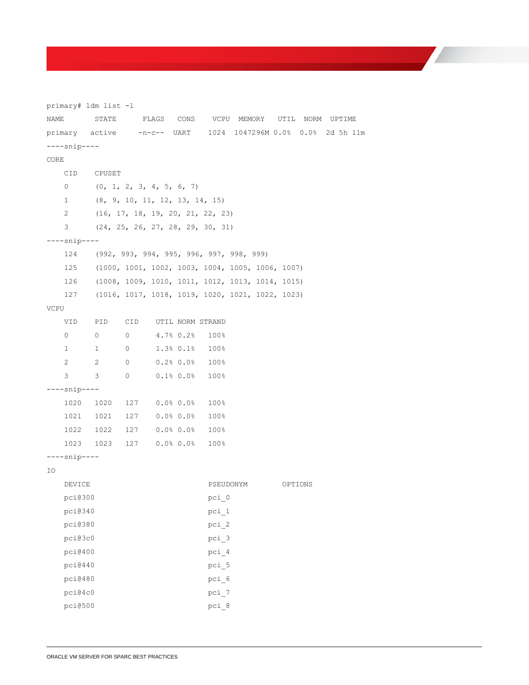primary# ldm list -l NAME STATE FLAGS CONS VCPU MEMORY UTIL NORM UPTIME primary active -n-c-- UART 1024 1047296M 0.0% 0.0% 2d 5h 11m ----snip---- CORE CID CPUSET 0 (0, 1, 2, 3, 4, 5, 6, 7) 1 (8, 9, 10, 11, 12, 13, 14, 15) 2 (16, 17, 18, 19, 20, 21, 22, 23) 3 (24, 25, 26, 27, 28, 29, 30, 31) ----snip---- 124 (992, 993, 994, 995, 996, 997, 998, 999) 125 (1000, 1001, 1002, 1003, 1004, 1005, 1006, 1007) 126 (1008, 1009, 1010, 1011, 1012, 1013, 1014, 1015) 127 (1016, 1017, 1018, 1019, 1020, 1021, 1022, 1023) VCPU VID PID CID UTIL NORM STRAND 0 0 0 4.7% 0.2% 100% 1 1 0 1.3% 0.1% 100% 2 2 0 0.2% 0.0% 100% 3 3 0 0.1% 0.0% 100% ----snip---- 1020 1020 127 0.0% 0.0% 100% 1021 1021 127 0.0% 0.0% 100% 1022 1022 127 0.0% 0.0% 100% 1023 1023 127 0.0% 0.0% 100% ----snip---- IO DEVICE PSEUDONYM OPTIONS pci@300 pci 0 pci@340 pci 1 pci@380 pci 2 pci@3c0 pci 3 pci@400 pci\_4 pci@440 pci\_5 pci@480 pci\_6 pci@4c0 pci\_7 pci@500 pci\_8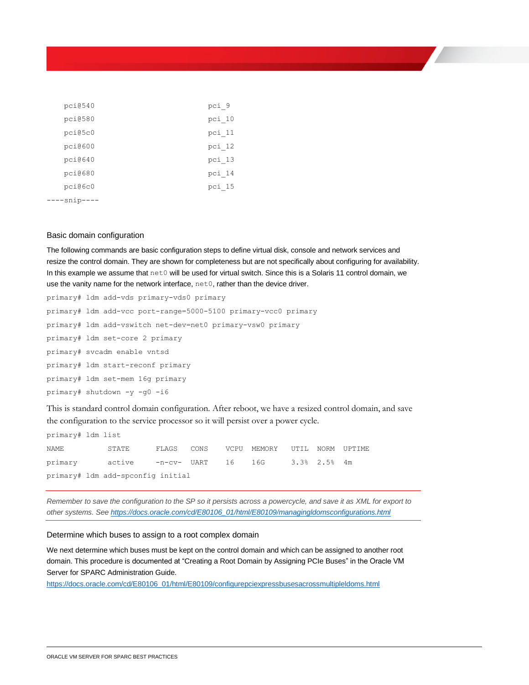| pci@540   | pci_9    |
|-----------|----------|
| pci@580   | pci 10   |
| pci@5c0   | pci 11   |
| pci@600   | pci 12   |
| pci@640   | $pci$ 13 |
| pci@680   | $pci$ 14 |
| pci@6c0   | $pci$ 15 |
| -snip---- |          |

#### <span id="page-23-0"></span>Basic domain configuration

The following commands are basic configuration steps to define virtual disk, console and network services and resize the control domain. They are shown for completeness but are not specifically about configuring for availability. In this example we assume that net0 will be used for virtual switch. Since this is a Solaris 11 control domain, we use the vanity name for the network interface, net0, rather than the device driver.

| primary# ldm add-vds primary-vds0 primary                      |
|----------------------------------------------------------------|
| primary# 1dm add-vcc port-range=5000-5100 primary-vcc0 primary |
| primary# ldm add-vswitch net-dev=net0 primary-vsw0 primary     |
| primary# ldm set-core 2 primary                                |
| primary# svcadm enable vntsd                                   |
| primary# ldm start-reconf primary                              |
| primary# ldm set-mem 16q primary                               |
| primary# shutdown -y -q0 -i6                                   |

This is standard control domain configuration. After reboot, we have a resized control domain, and save the configuration to the service processor so it will persist over a power cycle.

| primary# ldm list |                                                |  |                                         |  |  |
|-------------------|------------------------------------------------|--|-----------------------------------------|--|--|
| NAME              | STATE                                          |  | FLAGS CONS VCPU MEMORY UTIL NORM UPTIME |  |  |
|                   | primary active -n-cv- UART 16 16G 3.3% 2.5% 4m |  |                                         |  |  |
|                   | primary# ldm add-spconfig initial              |  |                                         |  |  |

*Remember to save the configuration to the SP so it persists across a powercycle, and save it as XML for export to other systems. Se[e https://docs.oracle.com/cd/E80106\\_01/html/E80109/managingldomsconfigurations.html](https://docs.oracle.com/cd/E80106_01/html/E80109/managingldomsconfigurations.html)*

#### <span id="page-23-1"></span>Determine which buses to assign to a root complex domain

We next determine which buses must be kept on the control domain and which can be assigned to another root domain. This procedure is documented at "Creating a Root Domain by Assigning PCIe Buses" in the Oracle VM Server for SPARC Administration Guide.

[https://docs.oracle.com/cd/E80106\\_01/html/E80109/configurepciexpressbusesacrossmultipleldoms.html](https://docs.oracle.com/cd/E80106_01/html/E80109/configurepciexpressbusesacrossmultipleldoms.html)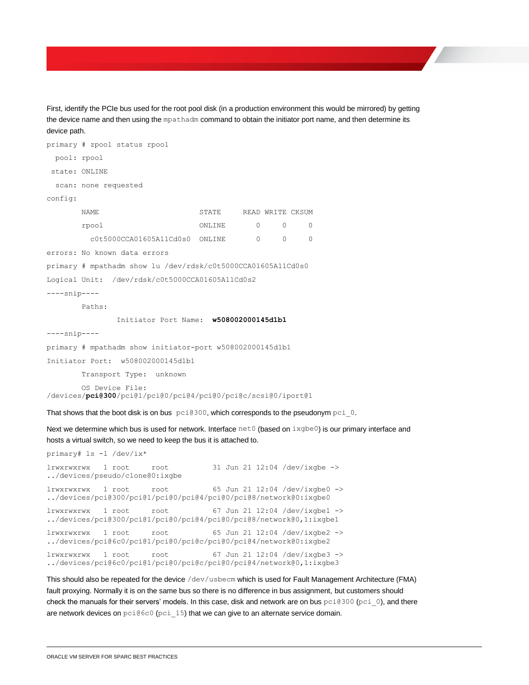First, identify the PCIe bus used for the root pool disk (in a production environment this would be mirrored) by getting the device name and then using the mpathadm command to obtain the initiator port name, and then determine its device path.

```
primary # zpool status rpool
  pool: rpool
state: ONLINE
  scan: none requested
config:
       NAME STATE READ WRITE CKSUM
       rpool ONLINE 0 0 0
          c0t5000CCA01605A11Cd0s0 ONLINE 0 0 0
errors: No known data errors
primary # mpathadm show lu /dev/rdsk/c0t5000CCA01605A11Cd0s0
Logical Unit: /dev/rdsk/c0t5000CCA01605A11Cd0s2
----snip----
        Paths:
                Initiator Port Name: w508002000145d1b1
----snip----
primary # mpathadm show initiator-port w508002000145d1b1
Initiator Port: w508002000145d1b1
        Transport Type: unknown
         OS Device File: 
/devices/pci@300/pci@1/pci@0/pci@4/pci@0/pci@c/scsi@0/iport@1
That shows that the boot disk is on bus pci@300, which corresponds to the pseudonym pci_0.
Next we determine which bus is used for network. Interface net 0 (based on ixgbe0) is our primary interface and
hosts a virtual switch, so we need to keep the bus it is attached to.
```
primary# ls -l /dev/ix\*

```
lrwxrwxrwx 1 root root 31 Jun 21 12:04 /dev/ixgbe -> 
../devices/pseudo/clone@0:ixgbe
lrwxrwxrwx 1 root root 65 Jun 21 12:04 /dev/ixgbe0 -> 
../devices/pci@300/pci@1/pci@0/pci@4/pci@0/pci@8/network@0:ixgbe0
lrwxrwxrwx 1 root root 67 Jun 21 12:04 /dev/ixgbe1 ->
../devices/pci@300/pci@1/pci@0/pci@4/pci@0/pci@8/network@0,1:ixgbe1
lrwxrwxrwx 1 root root 65 Jun 21 12:04 /dev/ixgbe2 -> 
../devices/pci@6c0/pci@1/pci@0/pci@c/pci@0/pci@4/network@0:ixgbe2
lrwxrwxrwx 1 root root 67 Jun 21 12:04 /dev/ixgbe3 -> 
../devices/pci@6c0/pci@1/pci@0/pci@c/pci@0/pci@4/network@0,1:ixgbe3
```
This should also be repeated for the device /dev/usbecm which is used for Fault Management Architecture (FMA) fault proxying. Normally it is on the same bus so there is no difference in bus assignment, but customers should check the manuals for their servers' models. In this case, disk and network are on bus  $pci@300$  (pci=0), and there are network devices on pci@6c0 (pci\_15) that we can give to an alternate service domain.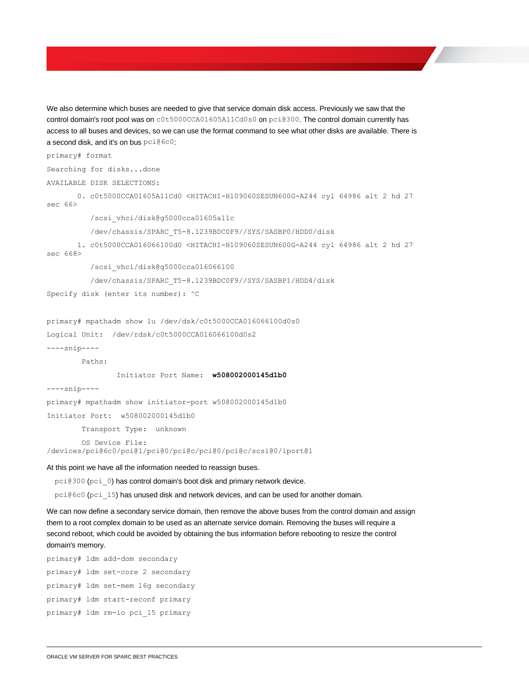We also determine which buses are needed to give that service domain disk access. Previously we saw that the control domain's root pool was on c0t5000CCA01605A11Cd0s0 on pci@300. The control domain currently has access to all buses and devices, so we can use the format command to see what other disks are available. There is a second disk, and it's on bus pci@6c0:

```
primary# format
Searching for disks...done
AVAILABLE DISK SELECTIONS:
        0. c0t5000CCA01605A11Cd0 <HITACHI-H109060SESUN600G-A244 cyl 64986 alt 2 hd 27 
sec 66>
           /scsi_vhci/disk@g5000cca01605a11c
           /dev/chassis/SPARC_T5-8.1239BDC0F9//SYS/SASBP0/HDD0/disk
        1. c0t5000CCA016066100d0 <HITACHI-H109060SESUN600G-A244 cyl 64986 alt 2 hd 27 
sec 668>
           /scsi_vhci/disk@g5000cca016066100
           /dev/chassis/SPARC_T5-8.1239BDC0F9//SYS/SASBP1/HDD4/disk
Specify disk (enter its number): ^C
primary# mpathadm show lu /dev/dsk/c0t5000CCA016066100d0s0
Logical Unit: /dev/rdsk/c0t5000CCA016066100d0s2
----snip----
         Paths:
                 Initiator Port Name: w508002000145d1b0
----snip----
primary# mpathadm show initiator-port w508002000145d1b0
Initiator Port: w508002000145d1b0
         Transport Type: unknown
         OS Device File: 
/devices/pci@6c0/pci@1/pci@0/pci@c/pci@0/pci@c/scsi@0/iport@1
At this point we have all the information needed to reassign buses.
  pci@300 (pci_0) has control domain's boot disk and primary network device.
```
pci@6c0 (pci\_15) has unused disk and network devices, and can be used for another domain.

We can now define a secondary service domain, then remove the above buses from the control domain and assign them to a root complex domain to be used as an alternate service domain. Removing the buses will require a second reboot, which could be avoided by obtaining the bus information before rebooting to resize the control domain's memory.

```
primary# ldm add-dom secondary
primary# ldm set-core 2 secondary
primary# ldm set-mem 16g secondary
primary# ldm start-reconf primary
primary# ldm rm-io pci_15 primary
```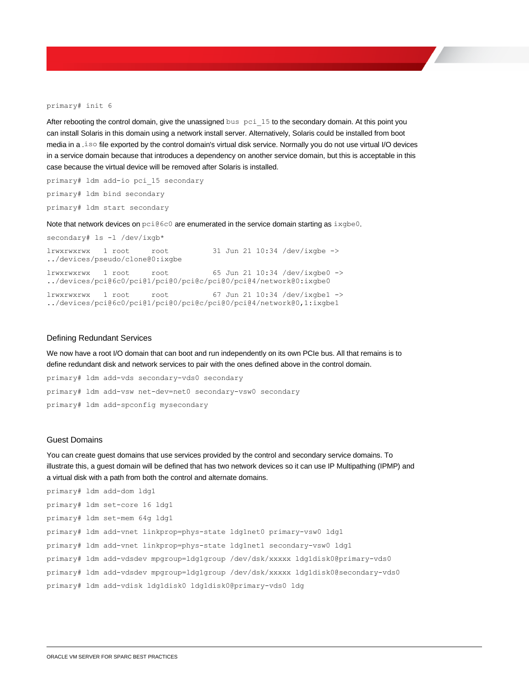#### primary# init 6

After rebooting the control domain, give the unassigned bus pci\_15 to the secondary domain. At this point you can install Solaris in this domain using a network install server. Alternatively, Solaris could be installed from boot media in a .iso file exported by the control domain's virtual disk service. Normally you do not use virtual I/O devices in a service domain because that introduces a dependency on another service domain, but this is acceptable in this case because the virtual device will be removed after Solaris is installed.

primary# ldm add-io pci\_15 secondary primary# ldm bind secondary primary# ldm start secondary

Note that network devices on pci@6c0 are enumerated in the service domain starting as ixgbe0.

secondary# ls -l /dev/ixgb\* lrwxrwxrwx 1 root root 31 Jun 21 10:34 /dev/ixgbe -> ../devices/pseudo/clone@0:ixgbe lrwxrwxrwx 1 root root 65 Jun 21 10:34 /dev/ixgbe0 -> ../devices/pci@6c0/pci@1/pci@0/pci@c/pci@0/pci@4/network@0:ixgbe0 lrwxrwxrwx  $1$  root root 67 Jun 21 10:34 /dev/ixgbe1 -> ../devices/pci@6c0/pci@1/pci@0/pci@c/pci@0/pci@4/network@0,1:ixgbe1

#### <span id="page-26-0"></span>Defining Redundant Services

We now have a root I/O domain that can boot and run independently on its own PCIe bus. All that remains is to define redundant disk and network services to pair with the ones defined above in the control domain.

primary# ldm add-vds secondary-vds0 secondary primary# ldm add-vsw net-dev=net0 secondary-vsw0 secondary primary# ldm add-spconfig mysecondary

#### <span id="page-26-1"></span>Guest Domains

You can create guest domains that use services provided by the control and secondary service domains. To illustrate this, a guest domain will be defined that has two network devices so it can use IP Multipathing (IPMP) and a virtual disk with a path from both the control and alternate domains.

|  | primary# ldm add-dom ldg1                                                         |
|--|-----------------------------------------------------------------------------------|
|  | primary# ldm set-core 16 ldg1                                                     |
|  | primary# ldm set-mem 64q ldq1                                                     |
|  | primary# ldm add-vnet linkprop=phys-state ldq1net0 primary-vsw0 ldq1              |
|  | primary# ldm add-vnet linkprop=phys-state ldg1net1 secondary-vsw0 ldg1            |
|  | primary# ldm add-vdsdev mpgroup=ldg1group /dev/dsk/xxxxx ldg1disk0@primary-vds0   |
|  | primary# ldm add-vdsdev mpgroup=ldg1group /dev/dsk/xxxxx ldg1disk0@secondary-vds0 |
|  | primary# ldm add-vdisk ldg1disk0 ldg1disk0@primary-vds0 ldg                       |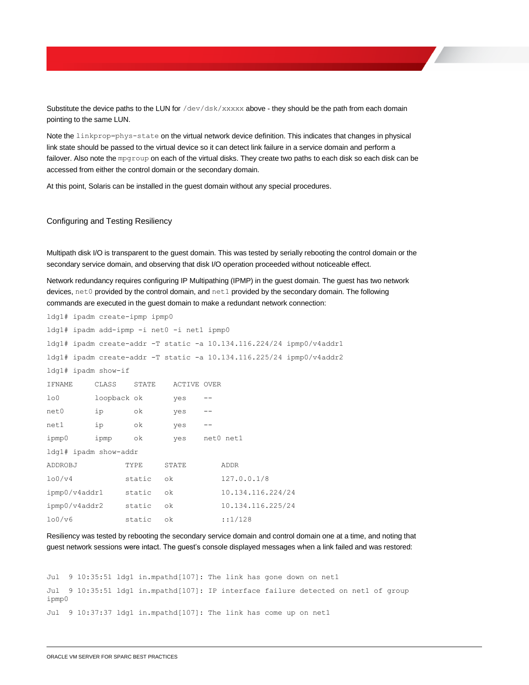Substitute the device paths to the LUN for /dev/dsk/xxxxx above - they should be the path from each domain pointing to the same LUN.

Note the linkprop=phys-state on the virtual network device definition. This indicates that changes in physical link state should be passed to the virtual device so it can detect link failure in a service domain and perform a failover. Also note the mpgroup on each of the virtual disks. They create two paths to each disk so each disk can be accessed from either the control domain or the secondary domain.

At this point, Solaris can be installed in the guest domain without any special procedures.

#### <span id="page-27-0"></span>Configuring and Testing Resiliency

Multipath disk I/O is transparent to the guest domain. This was tested by serially rebooting the control domain or the secondary service domain, and observing that disk I/O operation proceeded without noticeable effect.

Network redundancy requires configuring IP Multipathing (IPMP) in the guest domain. The guest has two network devices, net0 provided by the control domain, and net1 provided by the secondary domain. The following commands are executed in the guest domain to make a redundant network connection:

| ldg1# ipadm create-ipmp ipmp0              |             |        |               |       |                                                                      |  |
|--------------------------------------------|-------------|--------|---------------|-------|----------------------------------------------------------------------|--|
| ldg1# ipadm add-ipmp -i net0 -i net1 ipmp0 |             |        |               |       |                                                                      |  |
|                                            |             |        |               |       | ldg1# ipadm create-addr -T static -a 10.134.116.224/24 ipmp0/v4addr1 |  |
|                                            |             |        |               |       | ldg1# ipadm create-addr -T static -a 10.134.116.225/24 ipmp0/v4addr2 |  |
| ldg1# ipadm show-if                        |             |        |               |       |                                                                      |  |
| IFNAME                                     | CLASS       | STATE  | ACTIVE OVER   |       |                                                                      |  |
| 1 <sub>0</sub>                             | loopback ok |        | yes           | $- -$ |                                                                      |  |
| net0                                       | ip          | οk     | yes           | $- -$ |                                                                      |  |
| net1                                       | ip          | ok     | yes           | $- -$ |                                                                      |  |
| ipmp0                                      | ipmp ok     |        | yes net0 net1 |       |                                                                      |  |
| ldg1# ipadm show-addr                      |             |        |               |       |                                                                      |  |
| ADDROBJ                                    |             | TYPE   | STATE         |       | ADDR                                                                 |  |
| 100/v4                                     |             | static | οk            |       | 127.0.0.1/8                                                          |  |
| ipmp0/v4addr1 static                       |             |        | οk            |       | 10.134.116.224/24                                                    |  |
| ipmp0/v4addr2 static                       |             |        | οk            |       | 10.134.116.225/24                                                    |  |
| 100/v6                                     |             | static | οk            |       | :1/128                                                               |  |

Resiliency was tested by rebooting the secondary service domain and control domain one at a time, and noting that guest network sessions were intact. The guest's console displayed messages when a link failed and was restored:

Jul 9 10:35:51 ldg1 in.mpathd[107]: The link has gone down on net1 Jul 9 10:35:51 ldg1 in.mpathd[107]: IP interface failure detected on net1 of group ipmp0 Jul 9 10:37:37 ldg1 in.mpathd[107]: The link has come up on net1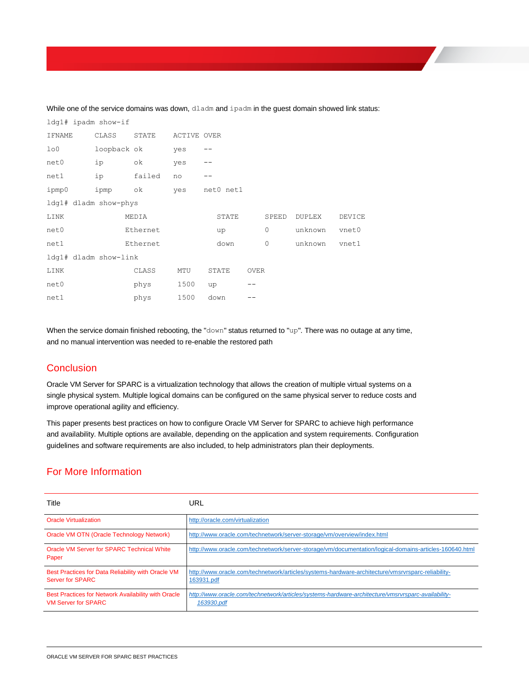| ldg1# ipadm show-if   |             |          |             |    |           |             |              |               |        |
|-----------------------|-------------|----------|-------------|----|-----------|-------------|--------------|---------------|--------|
| IFNAME                | CLASS       | STATE    | ACTIVE OVER |    |           |             |              |               |        |
| 1 <sub>0</sub>        | loopback ok |          | yes         |    |           |             |              |               |        |
| net0                  | ip          | οk       | yes         |    |           |             |              |               |        |
| net1                  | ip          | failed   | no          |    |           |             |              |               |        |
| ipmp0                 | ipmp        | ok       | yes         |    | net0 net1 |             |              |               |        |
| ldg1# dladm show-phys |             |          |             |    |           |             |              |               |        |
| LINK                  |             | MEDIA    |             |    | STATE     |             | SPEED        | <b>DUPLEX</b> | DEVICE |
| net0                  |             | Ethernet |             |    | up        |             | 0            | unknown       | vnet0  |
| net1                  |             | Ethernet |             |    | down      |             | $\mathbf{0}$ | unknown       | vnet1  |
| ldg1# dladm show-link |             |          |             |    |           |             |              |               |        |
| LINK                  |             | CLASS    | MTU         |    | STATE     | <b>OVER</b> |              |               |        |
| net0                  |             | phys     | 1500        | up |           |             |              |               |        |
| net1                  |             | phys     | 1500        |    | down      |             |              |               |        |

While one of the service domains was down, dladm and ipadm in the guest domain showed link status:

When the service domain finished rebooting, the "down" status returned to "up". There was no outage at any time, and no manual intervention was needed to re-enable the restored path

### <span id="page-28-0"></span>**Conclusion**

Oracle VM Server for SPARC is a virtualization technology that allows the creation of multiple virtual systems on a single physical system. Multiple logical domains can be configured on the same physical server to reduce costs and improve operational agility and efficiency.

This paper presents best practices on how to configure Oracle VM Server for SPARC to achieve high performance and availability. Multiple options are available, depending on the application and system requirements. Configuration guidelines and software requirements are also included, to help administrators plan their deployments.

# <span id="page-28-1"></span>For More Information

| Title                                                                             | URL                                                                                                              |
|-----------------------------------------------------------------------------------|------------------------------------------------------------------------------------------------------------------|
| <b>Oracle Virtualization</b>                                                      | http://oracle.com/virtualization                                                                                 |
| Oracle VM OTN (Oracle Technology Network)                                         | http://www.oracle.com/technetwork/server-storage/vm/overview/index.html                                          |
| Oracle VM Server for SPARC Technical White<br>Paper                               | http://www.oracle.com/technetwork/server-storage/vm/documentation/logical-domains-articles-160640.html           |
| Best Practices for Data Reliability with Oracle VM<br><b>Server for SPARC</b>     | http://www.oracle.com/technetwork/articles/systems-hardware-architecture/vmsrvrsparc-reliability-<br>163931.pdf  |
| Best Practices for Network Availability with Oracle<br><b>VM Server for SPARC</b> | http://www.oracle.com/technetwork/articles/systems-hardware-architecture/vmsrvrsparc-availability-<br>163930.pdf |